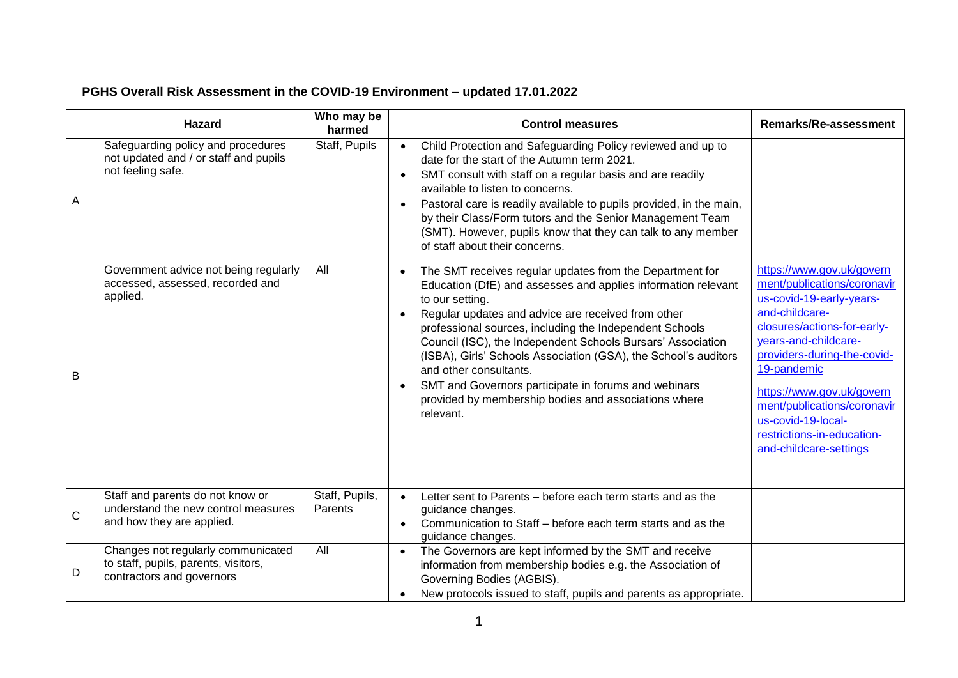# **PGHS Overall Risk Assessment in the COVID-19 Environment – updated 17.01.2022**

|   | <b>Hazard</b>                                                                                           | Who may be<br>harmed      | <b>Control measures</b>                                                                                                                                                                                                                                                                                                                                                                                                                                                                                                                                | <b>Remarks/Re-assessment</b>                                                                                                                                                                                                                                                                                                                          |
|---|---------------------------------------------------------------------------------------------------------|---------------------------|--------------------------------------------------------------------------------------------------------------------------------------------------------------------------------------------------------------------------------------------------------------------------------------------------------------------------------------------------------------------------------------------------------------------------------------------------------------------------------------------------------------------------------------------------------|-------------------------------------------------------------------------------------------------------------------------------------------------------------------------------------------------------------------------------------------------------------------------------------------------------------------------------------------------------|
| Α | Safeguarding policy and procedures<br>not updated and / or staff and pupils<br>not feeling safe.        | Staff, Pupils             | Child Protection and Safeguarding Policy reviewed and up to<br>$\bullet$<br>date for the start of the Autumn term 2021.<br>SMT consult with staff on a regular basis and are readily<br>$\bullet$<br>available to listen to concerns.<br>Pastoral care is readily available to pupils provided, in the main,<br>$\bullet$<br>by their Class/Form tutors and the Senior Management Team<br>(SMT). However, pupils know that they can talk to any member<br>of staff about their concerns.                                                               |                                                                                                                                                                                                                                                                                                                                                       |
| B | Government advice not being regularly<br>accessed, assessed, recorded and<br>applied.                   | All                       | The SMT receives regular updates from the Department for<br>Education (DfE) and assesses and applies information relevant<br>to our setting.<br>Regular updates and advice are received from other<br>professional sources, including the Independent Schools<br>Council (ISC), the Independent Schools Bursars' Association<br>(ISBA), Girls' Schools Association (GSA), the School's auditors<br>and other consultants.<br>SMT and Governors participate in forums and webinars<br>provided by membership bodies and associations where<br>relevant. | https://www.gov.uk/govern<br>ment/publications/coronavir<br>us-covid-19-early-years-<br>and-childcare-<br>closures/actions-for-early-<br>years-and-childcare-<br>providers-during-the-covid-<br>19-pandemic<br>https://www.gov.uk/govern<br>ment/publications/coronavir<br>us-covid-19-local-<br>restrictions-in-education-<br>and-childcare-settings |
| C | Staff and parents do not know or<br>understand the new control measures<br>and how they are applied.    | Staff, Pupils,<br>Parents | Letter sent to Parents – before each term starts and as the<br>$\bullet$<br>guidance changes.<br>Communication to Staff – before each term starts and as the<br>guidance changes.                                                                                                                                                                                                                                                                                                                                                                      |                                                                                                                                                                                                                                                                                                                                                       |
| D | Changes not regularly communicated<br>to staff, pupils, parents, visitors,<br>contractors and governors | All                       | The Governors are kept informed by the SMT and receive<br>$\bullet$<br>information from membership bodies e.g. the Association of<br>Governing Bodies (AGBIS).<br>New protocols issued to staff, pupils and parents as appropriate.                                                                                                                                                                                                                                                                                                                    |                                                                                                                                                                                                                                                                                                                                                       |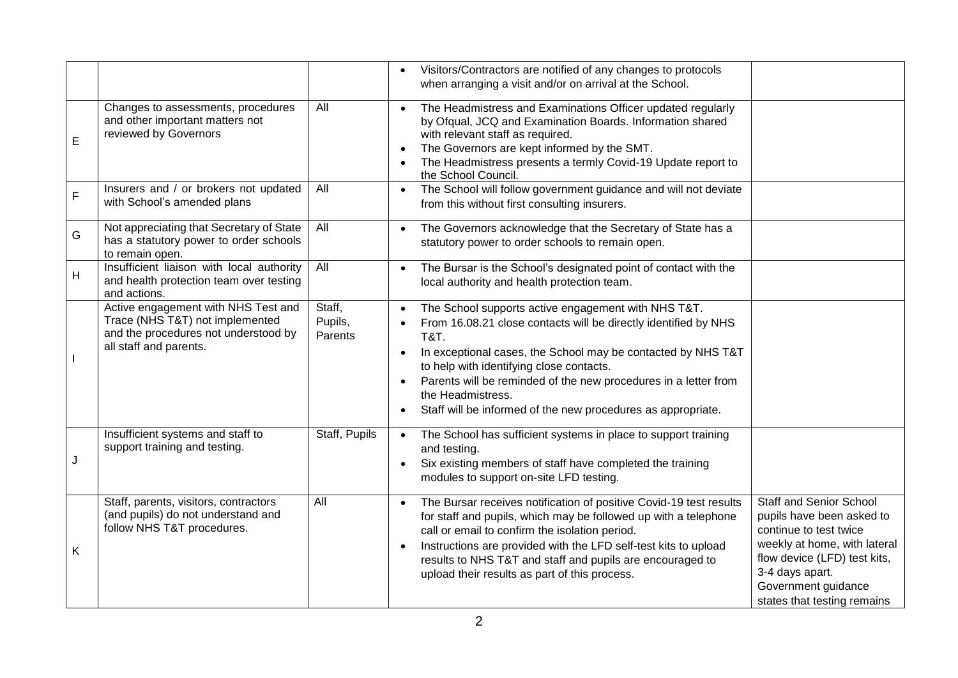|                |                                                                                                                                          |                              | Visitors/Contractors are notified of any changes to protocols<br>when arranging a visit and/or on arrival at the School.                                                                                                                                                                                                                                                                                                   |                                                                                                                                                                                                                                |
|----------------|------------------------------------------------------------------------------------------------------------------------------------------|------------------------------|----------------------------------------------------------------------------------------------------------------------------------------------------------------------------------------------------------------------------------------------------------------------------------------------------------------------------------------------------------------------------------------------------------------------------|--------------------------------------------------------------------------------------------------------------------------------------------------------------------------------------------------------------------------------|
| E              | Changes to assessments, procedures<br>and other important matters not<br>reviewed by Governors                                           | All                          | The Headmistress and Examinations Officer updated regularly<br>by Ofqual, JCQ and Examination Boards. Information shared<br>with relevant staff as required.<br>The Governors are kept informed by the SMT.<br>$\bullet$<br>The Headmistress presents a termly Covid-19 Update report to<br>the School Council.                                                                                                            |                                                                                                                                                                                                                                |
| F              | Insurers and / or brokers not updated<br>with School's amended plans                                                                     | All                          | The School will follow government guidance and will not deviate<br>$\bullet$<br>from this without first consulting insurers.                                                                                                                                                                                                                                                                                               |                                                                                                                                                                                                                                |
| G              | Not appreciating that Secretary of State<br>has a statutory power to order schools<br>to remain open.                                    | All                          | The Governors acknowledge that the Secretary of State has a<br>statutory power to order schools to remain open.                                                                                                                                                                                                                                                                                                            |                                                                                                                                                                                                                                |
| $\overline{H}$ | Insufficient liaison with local authority<br>and health protection team over testing<br>and actions.                                     | All                          | The Bursar is the School's designated point of contact with the<br>$\bullet$<br>local authority and health protection team.                                                                                                                                                                                                                                                                                                |                                                                                                                                                                                                                                |
|                | Active engagement with NHS Test and<br>Trace (NHS T&T) not implemented<br>and the procedures not understood by<br>all staff and parents. | Staff,<br>Pupils,<br>Parents | The School supports active engagement with NHS T&T.<br>From 16.08.21 close contacts will be directly identified by NHS<br><b>T&amp;T.</b><br>In exceptional cases, the School may be contacted by NHS T&T<br>$\bullet$<br>to help with identifying close contacts.<br>Parents will be reminded of the new procedures in a letter from<br>the Headmistress.<br>Staff will be informed of the new procedures as appropriate. |                                                                                                                                                                                                                                |
| J              | Insufficient systems and staff to<br>support training and testing.                                                                       | Staff, Pupils                | The School has sufficient systems in place to support training<br>and testing.<br>Six existing members of staff have completed the training<br>$\bullet$<br>modules to support on-site LFD testing.                                                                                                                                                                                                                        |                                                                                                                                                                                                                                |
| Κ              | Staff, parents, visitors, contractors<br>(and pupils) do not understand and<br>follow NHS T&T procedures.                                | All                          | The Bursar receives notification of positive Covid-19 test results<br>$\bullet$<br>for staff and pupils, which may be followed up with a telephone<br>call or email to confirm the isolation period.<br>Instructions are provided with the LFD self-test kits to upload<br>$\bullet$<br>results to NHS T&T and staff and pupils are encouraged to<br>upload their results as part of this process.                         | <b>Staff and Senior School</b><br>pupils have been asked to<br>continue to test twice<br>weekly at home, with lateral<br>flow device (LFD) test kits,<br>3-4 days apart.<br>Government guidance<br>states that testing remains |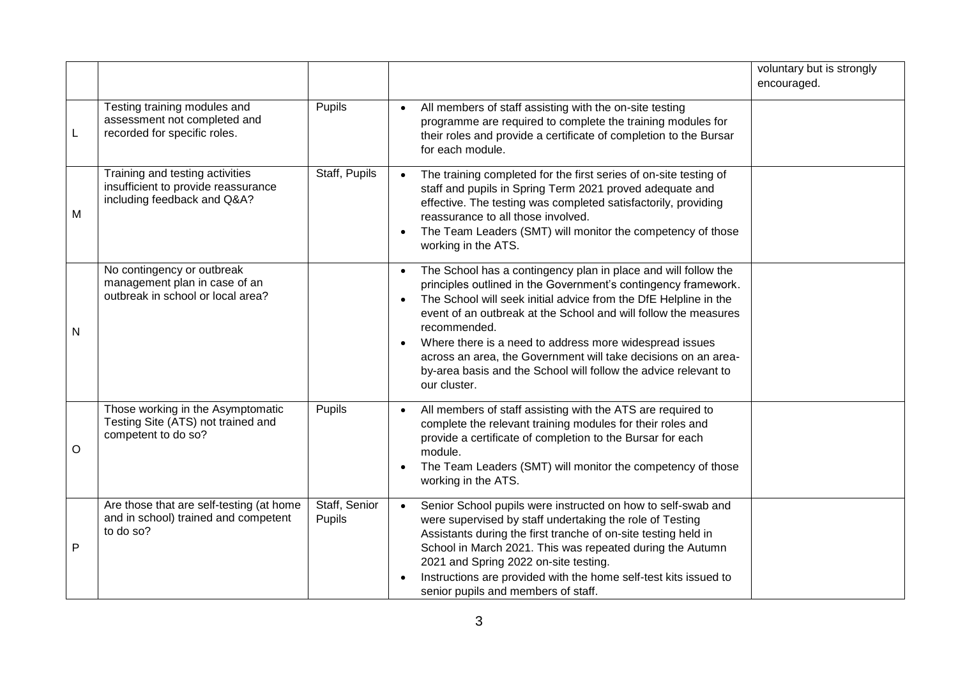|   |                                                                                                       |                         |                                                                                                                                                                                                                                                                                                                                                                                                                                                                                                                                                | voluntary but is strongly<br>encouraged. |
|---|-------------------------------------------------------------------------------------------------------|-------------------------|------------------------------------------------------------------------------------------------------------------------------------------------------------------------------------------------------------------------------------------------------------------------------------------------------------------------------------------------------------------------------------------------------------------------------------------------------------------------------------------------------------------------------------------------|------------------------------------------|
| L | Testing training modules and<br>assessment not completed and<br>recorded for specific roles.          | Pupils                  | All members of staff assisting with the on-site testing<br>$\bullet$<br>programme are required to complete the training modules for<br>their roles and provide a certificate of completion to the Bursar<br>for each module.                                                                                                                                                                                                                                                                                                                   |                                          |
| M | Training and testing activities<br>insufficient to provide reassurance<br>including feedback and Q&A? | Staff, Pupils           | The training completed for the first series of on-site testing of<br>$\bullet$<br>staff and pupils in Spring Term 2021 proved adequate and<br>effective. The testing was completed satisfactorily, providing<br>reassurance to all those involved.<br>The Team Leaders (SMT) will monitor the competency of those<br>$\bullet$<br>working in the ATS.                                                                                                                                                                                          |                                          |
| N | No contingency or outbreak<br>management plan in case of an<br>outbreak in school or local area?      |                         | The School has a contingency plan in place and will follow the<br>$\bullet$<br>principles outlined in the Government's contingency framework.<br>The School will seek initial advice from the DfE Helpline in the<br>$\bullet$<br>event of an outbreak at the School and will follow the measures<br>recommended.<br>Where there is a need to address more widespread issues<br>$\bullet$<br>across an area, the Government will take decisions on an area-<br>by-area basis and the School will follow the advice relevant to<br>our cluster. |                                          |
| O | Those working in the Asymptomatic<br>Testing Site (ATS) not trained and<br>competent to do so?        | Pupils                  | All members of staff assisting with the ATS are required to<br>$\bullet$<br>complete the relevant training modules for their roles and<br>provide a certificate of completion to the Bursar for each<br>module.<br>The Team Leaders (SMT) will monitor the competency of those<br>$\bullet$<br>working in the ATS.                                                                                                                                                                                                                             |                                          |
| P | Are those that are self-testing (at home<br>and in school) trained and competent<br>to do so?         | Staff, Senior<br>Pupils | Senior School pupils were instructed on how to self-swab and<br>$\bullet$<br>were supervised by staff undertaking the role of Testing<br>Assistants during the first tranche of on-site testing held in<br>School in March 2021. This was repeated during the Autumn<br>2021 and Spring 2022 on-site testing.<br>Instructions are provided with the home self-test kits issued to<br>senior pupils and members of staff.                                                                                                                       |                                          |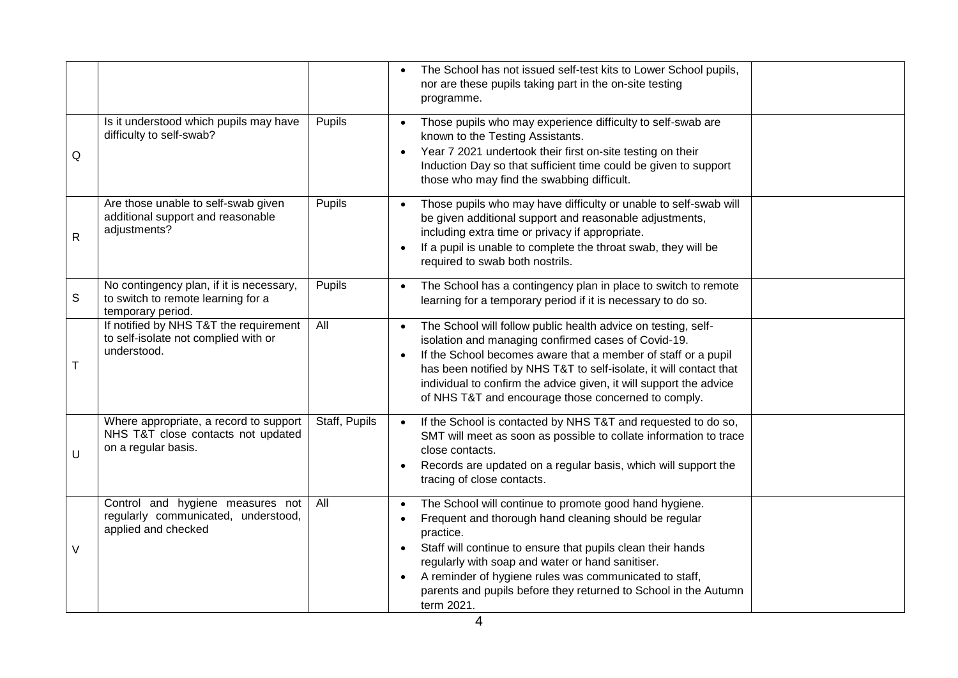|   |                                                                                                     |               | The School has not issued self-test kits to Lower School pupils,<br>nor are these pupils taking part in the on-site testing<br>programme.                                                                                                                                                                                                                                                                                         |  |
|---|-----------------------------------------------------------------------------------------------------|---------------|-----------------------------------------------------------------------------------------------------------------------------------------------------------------------------------------------------------------------------------------------------------------------------------------------------------------------------------------------------------------------------------------------------------------------------------|--|
| Q | Is it understood which pupils may have<br>difficulty to self-swab?                                  | Pupils        | Those pupils who may experience difficulty to self-swab are<br>$\bullet$<br>known to the Testing Assistants.<br>Year 7 2021 undertook their first on-site testing on their<br>$\bullet$<br>Induction Day so that sufficient time could be given to support<br>those who may find the swabbing difficult.                                                                                                                          |  |
| R | Are those unable to self-swab given<br>additional support and reasonable<br>adjustments?            | Pupils        | Those pupils who may have difficulty or unable to self-swab will<br>be given additional support and reasonable adjustments,<br>including extra time or privacy if appropriate.<br>If a pupil is unable to complete the throat swab, they will be<br>$\bullet$<br>required to swab both nostrils.                                                                                                                                  |  |
| S | No contingency plan, if it is necessary,<br>to switch to remote learning for a<br>temporary period. | Pupils        | The School has a contingency plan in place to switch to remote<br>$\bullet$<br>learning for a temporary period if it is necessary to do so.                                                                                                                                                                                                                                                                                       |  |
| Т | If notified by NHS T&T the requirement<br>to self-isolate not complied with or<br>understood.       | All           | The School will follow public health advice on testing, self-<br>$\bullet$<br>isolation and managing confirmed cases of Covid-19.<br>If the School becomes aware that a member of staff or a pupil<br>has been notified by NHS T&T to self-isolate, it will contact that<br>individual to confirm the advice given, it will support the advice<br>of NHS T&T and encourage those concerned to comply.                             |  |
| U | Where appropriate, a record to support<br>NHS T&T close contacts not updated<br>on a regular basis. | Staff, Pupils | If the School is contacted by NHS T&T and requested to do so,<br>$\bullet$<br>SMT will meet as soon as possible to collate information to trace<br>close contacts.<br>Records are updated on a regular basis, which will support the<br>$\bullet$<br>tracing of close contacts.                                                                                                                                                   |  |
| V | Control and hygiene measures not<br>regularly communicated, understood,<br>applied and checked      | All           | The School will continue to promote good hand hygiene.<br>$\bullet$<br>Frequent and thorough hand cleaning should be regular<br>practice.<br>Staff will continue to ensure that pupils clean their hands<br>$\bullet$<br>regularly with soap and water or hand sanitiser.<br>A reminder of hygiene rules was communicated to staff,<br>$\bullet$<br>parents and pupils before they returned to School in the Autumn<br>term 2021. |  |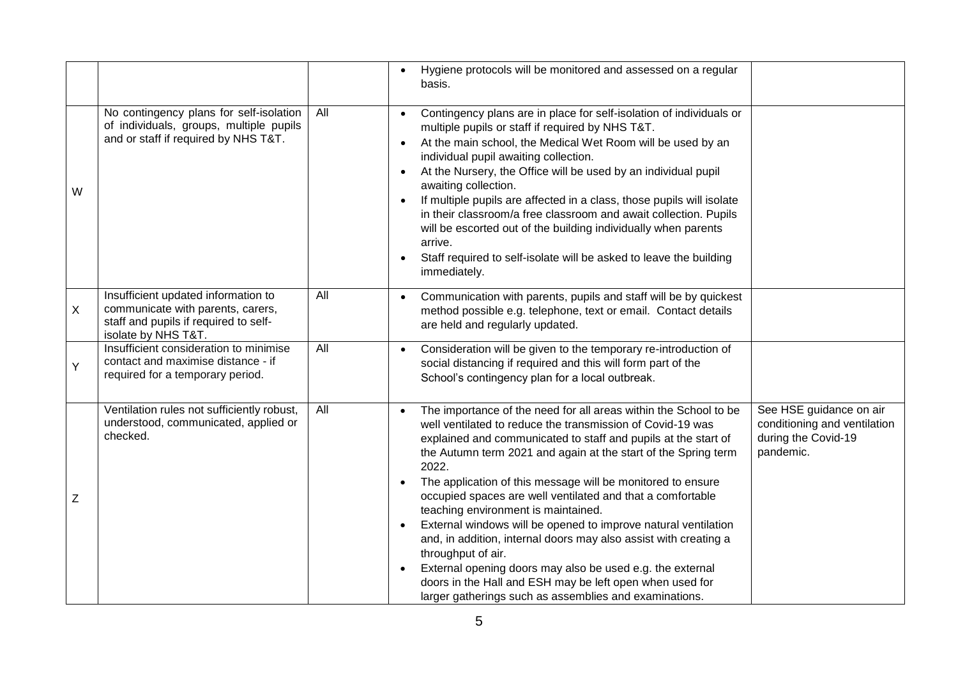|   |                                                                                                                                          |     | Hygiene protocols will be monitored and assessed on a regular<br>$\bullet$<br>basis.                                                                                                                                                                                                                                                                                                                                                                                                                                                                                                                                                                                                                                                                                                                                                                                                                                    |
|---|------------------------------------------------------------------------------------------------------------------------------------------|-----|-------------------------------------------------------------------------------------------------------------------------------------------------------------------------------------------------------------------------------------------------------------------------------------------------------------------------------------------------------------------------------------------------------------------------------------------------------------------------------------------------------------------------------------------------------------------------------------------------------------------------------------------------------------------------------------------------------------------------------------------------------------------------------------------------------------------------------------------------------------------------------------------------------------------------|
| W | No contingency plans for self-isolation<br>of individuals, groups, multiple pupils<br>and or staff if required by NHS T&T.               | All | Contingency plans are in place for self-isolation of individuals or<br>$\bullet$<br>multiple pupils or staff if required by NHS T&T.<br>At the main school, the Medical Wet Room will be used by an<br>$\bullet$<br>individual pupil awaiting collection.<br>At the Nursery, the Office will be used by an individual pupil<br>$\bullet$<br>awaiting collection.<br>If multiple pupils are affected in a class, those pupils will isolate<br>$\bullet$<br>in their classroom/a free classroom and await collection. Pupils<br>will be escorted out of the building individually when parents<br>arrive.<br>Staff required to self-isolate will be asked to leave the building<br>$\bullet$<br>immediately.                                                                                                                                                                                                              |
| X | Insufficient updated information to<br>communicate with parents, carers,<br>staff and pupils if required to self-<br>isolate by NHS T&T. | All | Communication with parents, pupils and staff will be by quickest<br>$\bullet$<br>method possible e.g. telephone, text or email. Contact details<br>are held and regularly updated.                                                                                                                                                                                                                                                                                                                                                                                                                                                                                                                                                                                                                                                                                                                                      |
| Ý | Insufficient consideration to minimise<br>contact and maximise distance - if<br>required for a temporary period.                         | All | Consideration will be given to the temporary re-introduction of<br>$\bullet$<br>social distancing if required and this will form part of the<br>School's contingency plan for a local outbreak.                                                                                                                                                                                                                                                                                                                                                                                                                                                                                                                                                                                                                                                                                                                         |
| Z | Ventilation rules not sufficiently robust,<br>understood, communicated, applied or<br>checked.                                           | All | See HSE guidance on air<br>The importance of the need for all areas within the School to be<br>$\bullet$<br>conditioning and ventilation<br>well ventilated to reduce the transmission of Covid-19 was<br>during the Covid-19<br>explained and communicated to staff and pupils at the start of<br>pandemic.<br>the Autumn term 2021 and again at the start of the Spring term<br>2022.<br>The application of this message will be monitored to ensure<br>$\bullet$<br>occupied spaces are well ventilated and that a comfortable<br>teaching environment is maintained.<br>External windows will be opened to improve natural ventilation<br>and, in addition, internal doors may also assist with creating a<br>throughput of air.<br>External opening doors may also be used e.g. the external<br>doors in the Hall and ESH may be left open when used for<br>larger gatherings such as assemblies and examinations. |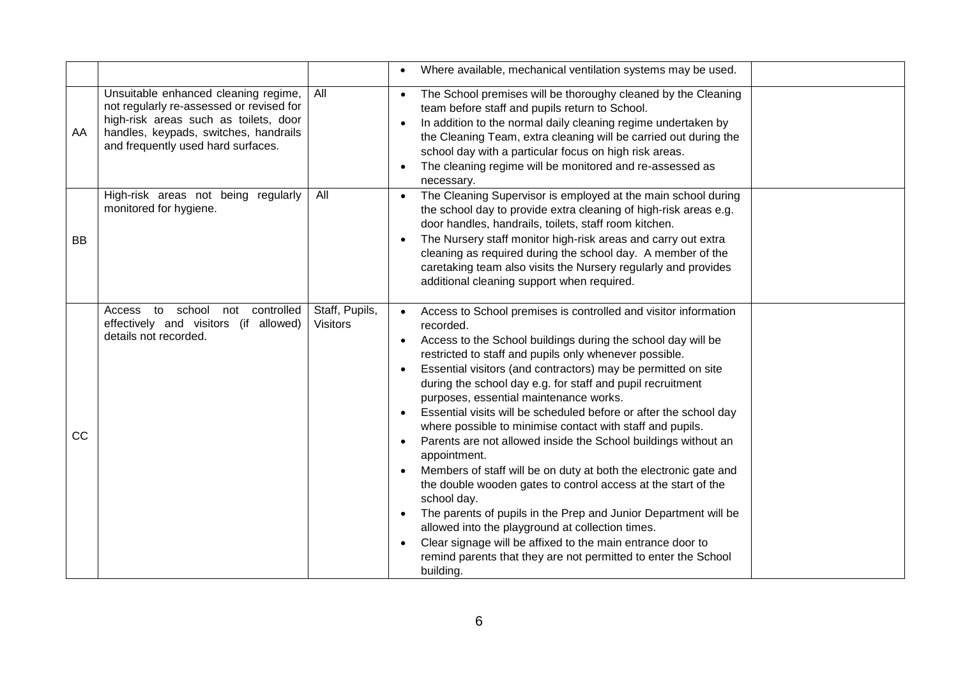|           |                                                                                                                                                                                                          |                                   | Where available, mechanical ventilation systems may be used.                                                                                                                                                                                                                                                                                                                                                                                                                                                                                                                                                                                                                                                                                                                                                                                                                                                                                                                                                                                                                                                           |  |
|-----------|----------------------------------------------------------------------------------------------------------------------------------------------------------------------------------------------------------|-----------------------------------|------------------------------------------------------------------------------------------------------------------------------------------------------------------------------------------------------------------------------------------------------------------------------------------------------------------------------------------------------------------------------------------------------------------------------------------------------------------------------------------------------------------------------------------------------------------------------------------------------------------------------------------------------------------------------------------------------------------------------------------------------------------------------------------------------------------------------------------------------------------------------------------------------------------------------------------------------------------------------------------------------------------------------------------------------------------------------------------------------------------------|--|
| AA        | Unsuitable enhanced cleaning regime,<br>not regularly re-assessed or revised for<br>high-risk areas such as toilets, door<br>handles, keypads, switches, handrails<br>and frequently used hard surfaces. | All                               | The School premises will be thoroughy cleaned by the Cleaning<br>$\bullet$<br>team before staff and pupils return to School.<br>In addition to the normal daily cleaning regime undertaken by<br>the Cleaning Team, extra cleaning will be carried out during the<br>school day with a particular focus on high risk areas.<br>The cleaning regime will be monitored and re-assessed as<br>$\bullet$<br>necessary.                                                                                                                                                                                                                                                                                                                                                                                                                                                                                                                                                                                                                                                                                                     |  |
| BB        | High-risk areas not being regularly<br>monitored for hygiene.                                                                                                                                            | All                               | The Cleaning Supervisor is employed at the main school during<br>the school day to provide extra cleaning of high-risk areas e.g.<br>door handles, handrails, toilets, staff room kitchen.<br>The Nursery staff monitor high-risk areas and carry out extra<br>$\bullet$<br>cleaning as required during the school day. A member of the<br>caretaking team also visits the Nursery regularly and provides<br>additional cleaning support when required.                                                                                                                                                                                                                                                                                                                                                                                                                                                                                                                                                                                                                                                                |  |
| <b>CC</b> | controlled<br>to<br>school<br>not<br>Access<br>effectively and visitors (if allowed)<br>details not recorded.                                                                                            | Staff, Pupils,<br><b>Visitors</b> | Access to School premises is controlled and visitor information<br>recorded.<br>Access to the School buildings during the school day will be<br>$\bullet$<br>restricted to staff and pupils only whenever possible.<br>Essential visitors (and contractors) may be permitted on site<br>$\bullet$<br>during the school day e.g. for staff and pupil recruitment<br>purposes, essential maintenance works.<br>Essential visits will be scheduled before or after the school day<br>$\bullet$<br>where possible to minimise contact with staff and pupils.<br>Parents are not allowed inside the School buildings without an<br>$\bullet$<br>appointment.<br>Members of staff will be on duty at both the electronic gate and<br>$\bullet$<br>the double wooden gates to control access at the start of the<br>school day.<br>The parents of pupils in the Prep and Junior Department will be<br>$\bullet$<br>allowed into the playground at collection times.<br>Clear signage will be affixed to the main entrance door to<br>$\bullet$<br>remind parents that they are not permitted to enter the School<br>building. |  |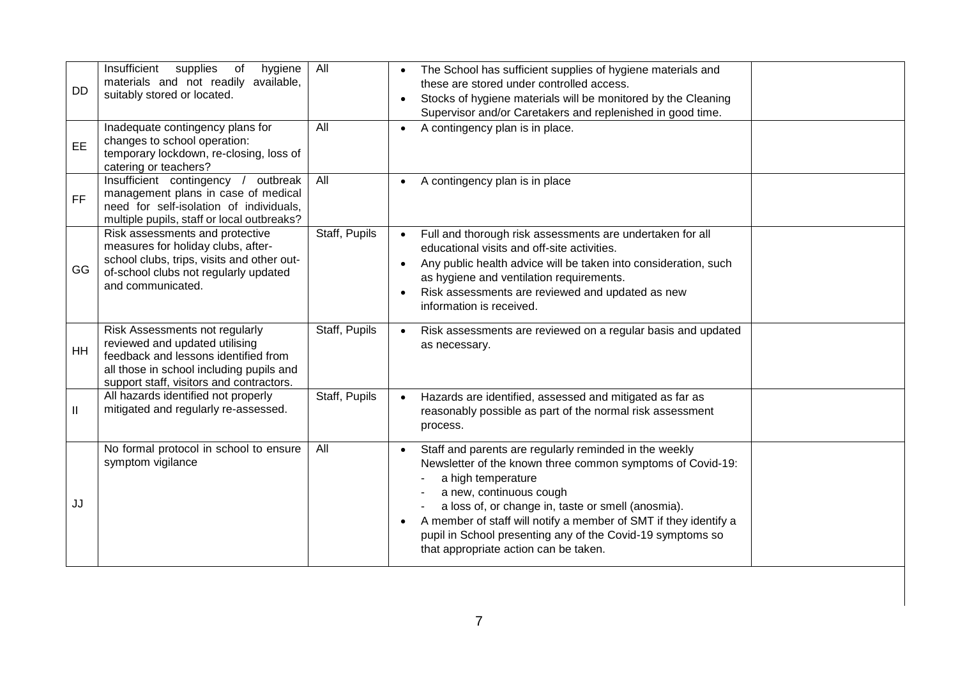| <b>DD</b>     | Insufficient<br>supplies<br>hygiene<br>of<br>materials and not readily available,<br>suitably stored or located.                                                                                 | All           | The School has sufficient supplies of hygiene materials and<br>these are stored under controlled access.<br>Stocks of hygiene materials will be monitored by the Cleaning<br>Supervisor and/or Caretakers and replenished in good time.                                                                                                                                                                                          |
|---------------|--------------------------------------------------------------------------------------------------------------------------------------------------------------------------------------------------|---------------|----------------------------------------------------------------------------------------------------------------------------------------------------------------------------------------------------------------------------------------------------------------------------------------------------------------------------------------------------------------------------------------------------------------------------------|
| EE.           | Inadequate contingency plans for<br>changes to school operation:<br>temporary lockdown, re-closing, loss of<br>catering or teachers?                                                             | All           | A contingency plan is in place.<br>$\bullet$                                                                                                                                                                                                                                                                                                                                                                                     |
| <b>FF</b>     | Insufficient contingency / outbreak<br>management plans in case of medical<br>need for self-isolation of individuals,<br>multiple pupils, staff or local outbreaks?                              | All           | A contingency plan is in place<br>$\bullet$                                                                                                                                                                                                                                                                                                                                                                                      |
| GG            | Risk assessments and protective<br>measures for holiday clubs, after-<br>school clubs, trips, visits and other out-<br>of-school clubs not regularly updated<br>and communicated.                | Staff, Pupils | Full and thorough risk assessments are undertaken for all<br>$\bullet$<br>educational visits and off-site activities.<br>Any public health advice will be taken into consideration, such<br>as hygiene and ventilation requirements.<br>Risk assessments are reviewed and updated as new<br>$\bullet$<br>information is received.                                                                                                |
| <b>HH</b>     | Risk Assessments not regularly<br>reviewed and updated utilising<br>feedback and lessons identified from<br>all those in school including pupils and<br>support staff, visitors and contractors. | Staff, Pupils | Risk assessments are reviewed on a regular basis and updated<br>$\bullet$<br>as necessary.                                                                                                                                                                                                                                                                                                                                       |
| $\mathbf{II}$ | All hazards identified not properly<br>mitigated and regularly re-assessed.                                                                                                                      | Staff, Pupils | Hazards are identified, assessed and mitigated as far as<br>$\bullet$<br>reasonably possible as part of the normal risk assessment<br>process.                                                                                                                                                                                                                                                                                   |
| JJ            | No formal protocol in school to ensure<br>symptom vigilance                                                                                                                                      | All           | Staff and parents are regularly reminded in the weekly<br>$\bullet$<br>Newsletter of the known three common symptoms of Covid-19:<br>a high temperature<br>a new, continuous cough<br>a loss of, or change in, taste or smell (anosmia).<br>A member of staff will notify a member of SMT if they identify a<br>$\bullet$<br>pupil in School presenting any of the Covid-19 symptoms so<br>that appropriate action can be taken. |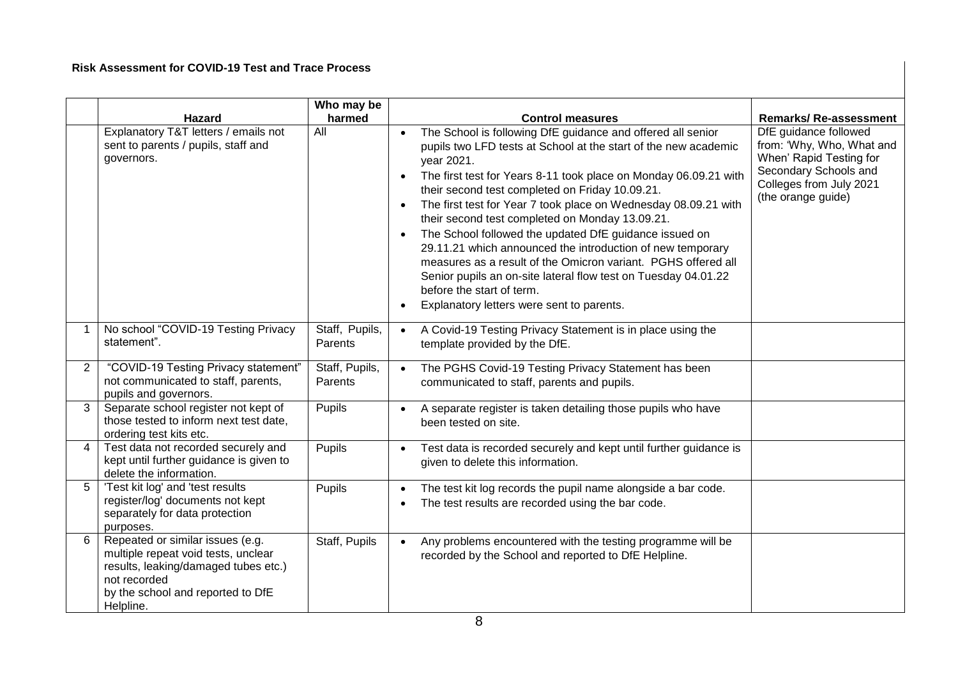#### **Risk Assessment for COVID-19 Test and Trace Process**

|                | <b>Hazard</b>                                                                                                                                                                     | Who may be<br>harmed      | <b>Control measures</b>                                                                                                                                                                                                                                                                                                                                                                                                                                                                                                                                                                                                                                                                                                                                                                         | <b>Remarks/Re-assessment</b>                                                                                                                            |
|----------------|-----------------------------------------------------------------------------------------------------------------------------------------------------------------------------------|---------------------------|-------------------------------------------------------------------------------------------------------------------------------------------------------------------------------------------------------------------------------------------------------------------------------------------------------------------------------------------------------------------------------------------------------------------------------------------------------------------------------------------------------------------------------------------------------------------------------------------------------------------------------------------------------------------------------------------------------------------------------------------------------------------------------------------------|---------------------------------------------------------------------------------------------------------------------------------------------------------|
|                | Explanatory T&T letters / emails not<br>sent to parents / pupils, staff and<br>governors.                                                                                         | $\overline{All}$          | The School is following DfE guidance and offered all senior<br>$\bullet$<br>pupils two LFD tests at School at the start of the new academic<br>year 2021.<br>The first test for Years 8-11 took place on Monday 06.09.21 with<br>$\bullet$<br>their second test completed on Friday 10.09.21.<br>The first test for Year 7 took place on Wednesday 08.09.21 with<br>$\bullet$<br>their second test completed on Monday 13.09.21.<br>The School followed the updated DfE guidance issued on<br>$\bullet$<br>29.11.21 which announced the introduction of new temporary<br>measures as a result of the Omicron variant. PGHS offered all<br>Senior pupils an on-site lateral flow test on Tuesday 04.01.22<br>before the start of term.<br>Explanatory letters were sent to parents.<br>$\bullet$ | DfE guidance followed<br>from: 'Why, Who, What and<br>When' Rapid Testing for<br>Secondary Schools and<br>Colleges from July 2021<br>(the orange guide) |
|                | No school "COVID-19 Testing Privacy<br>statement".                                                                                                                                | Staff, Pupils,<br>Parents | A Covid-19 Testing Privacy Statement is in place using the<br>$\bullet$<br>template provided by the DfE.                                                                                                                                                                                                                                                                                                                                                                                                                                                                                                                                                                                                                                                                                        |                                                                                                                                                         |
| $\overline{2}$ | "COVID-19 Testing Privacy statement"<br>not communicated to staff, parents,<br>pupils and governors.                                                                              | Staff, Pupils,<br>Parents | The PGHS Covid-19 Testing Privacy Statement has been<br>$\bullet$<br>communicated to staff, parents and pupils.                                                                                                                                                                                                                                                                                                                                                                                                                                                                                                                                                                                                                                                                                 |                                                                                                                                                         |
| 3              | Separate school register not kept of<br>those tested to inform next test date,<br>ordering test kits etc.                                                                         | Pupils                    | A separate register is taken detailing those pupils who have<br>been tested on site.                                                                                                                                                                                                                                                                                                                                                                                                                                                                                                                                                                                                                                                                                                            |                                                                                                                                                         |
| 4              | Test data not recorded securely and<br>kept until further guidance is given to<br>delete the information.                                                                         | Pupils                    | Test data is recorded securely and kept until further guidance is<br>$\bullet$<br>given to delete this information.                                                                                                                                                                                                                                                                                                                                                                                                                                                                                                                                                                                                                                                                             |                                                                                                                                                         |
| 5 <sup>5</sup> | 'Test kit log' and 'test results<br>register/log' documents not kept<br>separately for data protection<br>purposes.                                                               | Pupils                    | The test kit log records the pupil name alongside a bar code.<br>The test results are recorded using the bar code.                                                                                                                                                                                                                                                                                                                                                                                                                                                                                                                                                                                                                                                                              |                                                                                                                                                         |
| 6              | Repeated or similar issues (e.g.<br>multiple repeat void tests, unclear<br>results, leaking/damaged tubes etc.)<br>not recorded<br>by the school and reported to DfE<br>Helpline. | Staff, Pupils             | Any problems encountered with the testing programme will be<br>$\bullet$<br>recorded by the School and reported to DfE Helpline.                                                                                                                                                                                                                                                                                                                                                                                                                                                                                                                                                                                                                                                                |                                                                                                                                                         |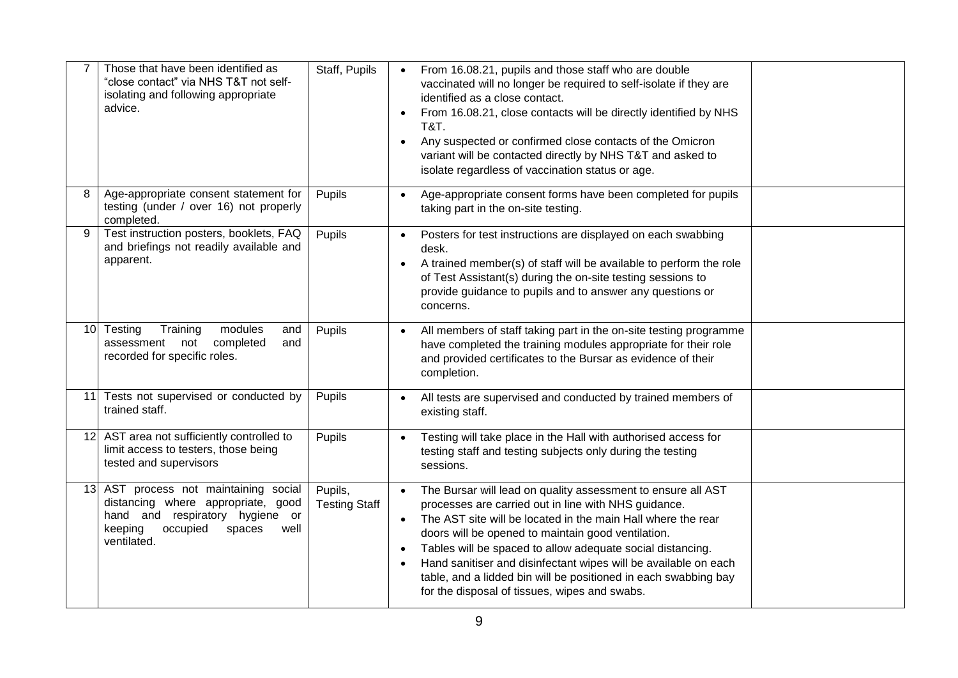|    | Those that have been identified as<br>"close contact" via NHS T&T not self-<br>isolating and following appropriate<br>advice.                                          | Staff, Pupils                   | From 16.08.21, pupils and those staff who are double<br>$\bullet$<br>vaccinated will no longer be required to self-isolate if they are<br>identified as a close contact.<br>From 16.08.21, close contacts will be directly identified by NHS<br>$\bullet$<br><b>T&amp;T.</b><br>Any suspected or confirmed close contacts of the Omicron<br>$\bullet$<br>variant will be contacted directly by NHS T&T and asked to<br>isolate regardless of vaccination status or age.                                                                             |
|----|------------------------------------------------------------------------------------------------------------------------------------------------------------------------|---------------------------------|-----------------------------------------------------------------------------------------------------------------------------------------------------------------------------------------------------------------------------------------------------------------------------------------------------------------------------------------------------------------------------------------------------------------------------------------------------------------------------------------------------------------------------------------------------|
| 8  | Age-appropriate consent statement for<br>testing (under / over 16) not properly<br>completed.                                                                          | Pupils                          | Age-appropriate consent forms have been completed for pupils<br>$\bullet$<br>taking part in the on-site testing.                                                                                                                                                                                                                                                                                                                                                                                                                                    |
| 9  | Test instruction posters, booklets, FAQ<br>and briefings not readily available and<br>apparent.                                                                        | Pupils                          | Posters for test instructions are displayed on each swabbing<br>$\bullet$<br>desk.<br>A trained member(s) of staff will be available to perform the role<br>$\bullet$<br>of Test Assistant(s) during the on-site testing sessions to<br>provide guidance to pupils and to answer any questions or<br>concerns.                                                                                                                                                                                                                                      |
|    | modules<br>10 Testing<br>Training<br>and<br>assessment not<br>completed<br>and<br>recorded for specific roles.                                                         | Pupils                          | All members of staff taking part in the on-site testing programme<br>$\bullet$<br>have completed the training modules appropriate for their role<br>and provided certificates to the Bursar as evidence of their<br>completion.                                                                                                                                                                                                                                                                                                                     |
| 11 | Tests not supervised or conducted by<br>trained staff.                                                                                                                 | Pupils                          | All tests are supervised and conducted by trained members of<br>$\bullet$<br>existing staff.                                                                                                                                                                                                                                                                                                                                                                                                                                                        |
|    | 12 AST area not sufficiently controlled to<br>limit access to testers, those being<br>tested and supervisors                                                           | Pupils                          | Testing will take place in the Hall with authorised access for<br>testing staff and testing subjects only during the testing<br>sessions.                                                                                                                                                                                                                                                                                                                                                                                                           |
|    | 13 AST process not maintaining social<br>distancing where appropriate, good<br>hand and respiratory hygiene or<br>keeping<br>occupied<br>spaces<br>well<br>ventilated. | Pupils,<br><b>Testing Staff</b> | The Bursar will lead on quality assessment to ensure all AST<br>$\bullet$<br>processes are carried out in line with NHS guidance.<br>The AST site will be located in the main Hall where the rear<br>$\bullet$<br>doors will be opened to maintain good ventilation.<br>Tables will be spaced to allow adequate social distancing.<br>$\bullet$<br>Hand sanitiser and disinfectant wipes will be available on each<br>$\bullet$<br>table, and a lidded bin will be positioned in each swabbing bay<br>for the disposal of tissues, wipes and swabs. |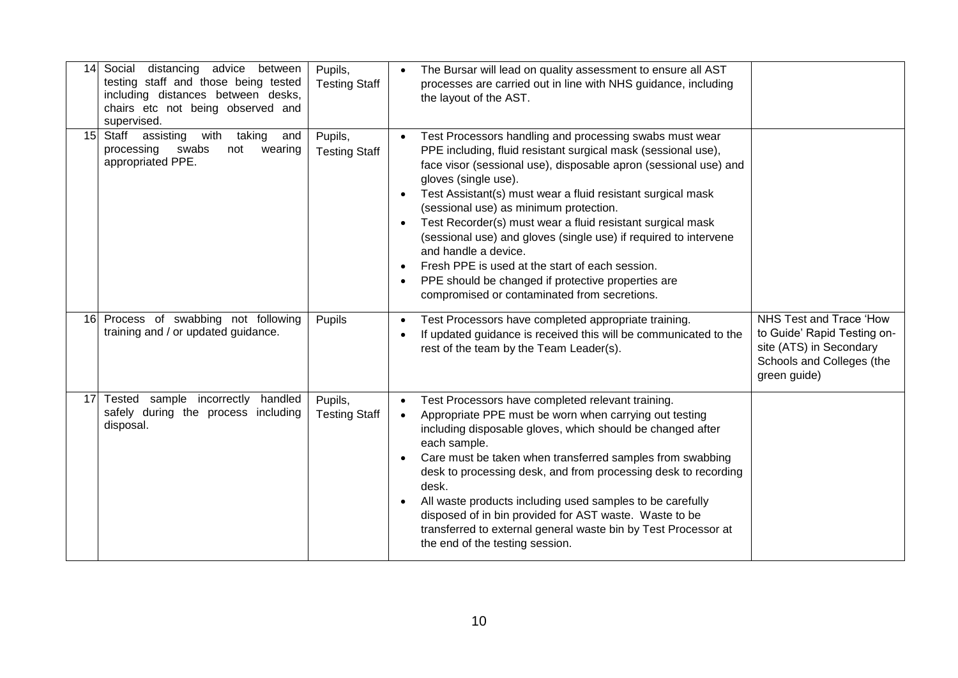| 14              | Social distancing advice between<br>testing staff and those being tested<br>including distances between desks,<br>chairs etc not being observed and<br>supervised. | Pupils,<br><b>Testing Staff</b> | The Bursar will lead on quality assessment to ensure all AST<br>processes are carried out in line with NHS guidance, including<br>the layout of the AST.                                                                                                                                                                                                                                                                                                                                                                                                                                                                                                                   |                                                                                                                                |
|-----------------|--------------------------------------------------------------------------------------------------------------------------------------------------------------------|---------------------------------|----------------------------------------------------------------------------------------------------------------------------------------------------------------------------------------------------------------------------------------------------------------------------------------------------------------------------------------------------------------------------------------------------------------------------------------------------------------------------------------------------------------------------------------------------------------------------------------------------------------------------------------------------------------------------|--------------------------------------------------------------------------------------------------------------------------------|
| 15 <sup>1</sup> | Staff assisting<br>taking<br>with<br>and<br>processing<br>swabs<br>not<br>wearing<br>appropriated PPE.                                                             | Pupils,<br><b>Testing Staff</b> | Test Processors handling and processing swabs must wear<br>$\bullet$<br>PPE including, fluid resistant surgical mask (sessional use),<br>face visor (sessional use), disposable apron (sessional use) and<br>gloves (single use).<br>Test Assistant(s) must wear a fluid resistant surgical mask<br>(sessional use) as minimum protection.<br>Test Recorder(s) must wear a fluid resistant surgical mask<br>$\bullet$<br>(sessional use) and gloves (single use) if required to intervene<br>and handle a device.<br>Fresh PPE is used at the start of each session.<br>PPE should be changed if protective properties are<br>compromised or contaminated from secretions. |                                                                                                                                |
|                 | 16 Process of swabbing not following<br>training and / or updated guidance.                                                                                        | Pupils                          | Test Processors have completed appropriate training.<br>$\bullet$<br>If updated guidance is received this will be communicated to the<br>rest of the team by the Team Leader(s).                                                                                                                                                                                                                                                                                                                                                                                                                                                                                           | NHS Test and Trace 'How<br>to Guide' Rapid Testing on-<br>site (ATS) in Secondary<br>Schools and Colleges (the<br>green guide) |
|                 | 17 Tested sample incorrectly handled<br>safely during the process including<br>disposal.                                                                           | Pupils,<br><b>Testing Staff</b> | Test Processors have completed relevant training.<br>$\bullet$<br>Appropriate PPE must be worn when carrying out testing<br>$\bullet$<br>including disposable gloves, which should be changed after<br>each sample.<br>Care must be taken when transferred samples from swabbing<br>desk to processing desk, and from processing desk to recording<br>desk.<br>All waste products including used samples to be carefully<br>disposed of in bin provided for AST waste. Waste to be<br>transferred to external general waste bin by Test Processor at<br>the end of the testing session.                                                                                    |                                                                                                                                |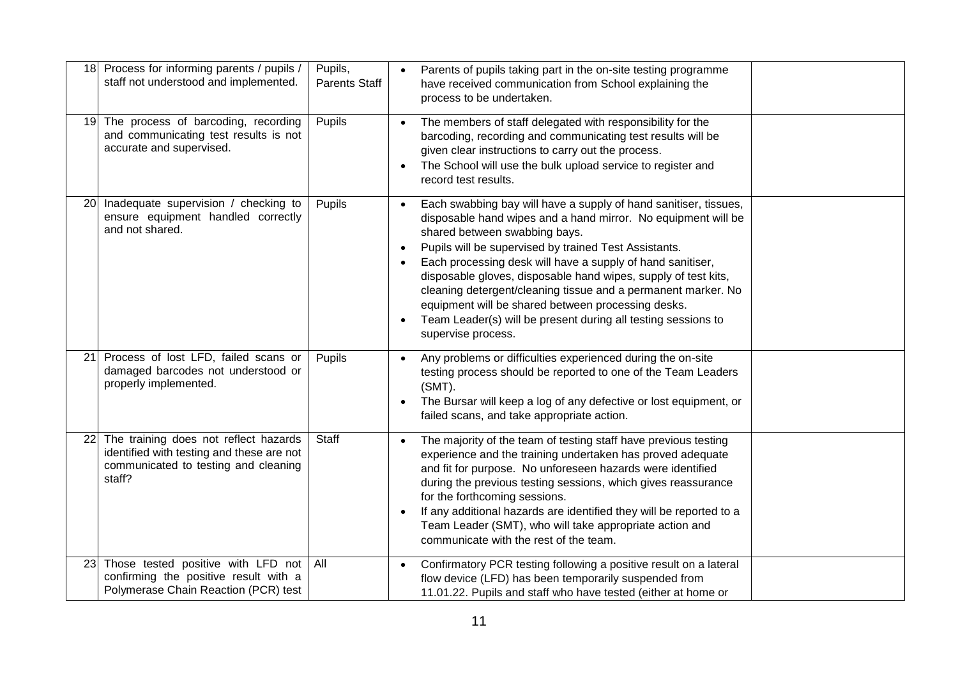| 18 <sup>l</sup> | Process for informing parents / pupils /<br>staff not understood and implemented.                                                    | Pupils,<br><b>Parents Staff</b> | Parents of pupils taking part in the on-site testing programme<br>$\bullet$<br>have received communication from School explaining the<br>process to be undertaken.                                                                                                                                                                                                                                                                                                                                                                                                                                               |
|-----------------|--------------------------------------------------------------------------------------------------------------------------------------|---------------------------------|------------------------------------------------------------------------------------------------------------------------------------------------------------------------------------------------------------------------------------------------------------------------------------------------------------------------------------------------------------------------------------------------------------------------------------------------------------------------------------------------------------------------------------------------------------------------------------------------------------------|
|                 | 19 The process of barcoding, recording<br>and communicating test results is not<br>accurate and supervised.                          | Pupils                          | The members of staff delegated with responsibility for the<br>$\bullet$<br>barcoding, recording and communicating test results will be<br>given clear instructions to carry out the process.<br>The School will use the bulk upload service to register and<br>$\bullet$<br>record test results.                                                                                                                                                                                                                                                                                                                 |
| <b>20</b>       | Inadequate supervision / checking to<br>ensure equipment handled correctly<br>and not shared.                                        | Pupils                          | Each swabbing bay will have a supply of hand sanitiser, tissues,<br>$\bullet$<br>disposable hand wipes and a hand mirror. No equipment will be<br>shared between swabbing bays.<br>Pupils will be supervised by trained Test Assistants.<br>$\bullet$<br>Each processing desk will have a supply of hand sanitiser,<br>disposable gloves, disposable hand wipes, supply of test kits,<br>cleaning detergent/cleaning tissue and a permanent marker. No<br>equipment will be shared between processing desks.<br>Team Leader(s) will be present during all testing sessions to<br>$\bullet$<br>supervise process. |
| 21              | Process of lost LFD, failed scans or<br>damaged barcodes not understood or<br>properly implemented.                                  | Pupils                          | Any problems or difficulties experienced during the on-site<br>$\bullet$<br>testing process should be reported to one of the Team Leaders<br>$(SMT)$ .<br>The Bursar will keep a log of any defective or lost equipment, or<br>$\bullet$<br>failed scans, and take appropriate action.                                                                                                                                                                                                                                                                                                                           |
| 22              | The training does not reflect hazards<br>identified with testing and these are not<br>communicated to testing and cleaning<br>staff? | Staff                           | The majority of the team of testing staff have previous testing<br>$\bullet$<br>experience and the training undertaken has proved adequate<br>and fit for purpose. No unforeseen hazards were identified<br>during the previous testing sessions, which gives reassurance<br>for the forthcoming sessions.<br>If any additional hazards are identified they will be reported to a<br>$\bullet$<br>Team Leader (SMT), who will take appropriate action and<br>communicate with the rest of the team.                                                                                                              |
|                 | 23 Those tested positive with LFD not   All<br>confirming the positive result with a<br>Polymerase Chain Reaction (PCR) test         |                                 | Confirmatory PCR testing following a positive result on a lateral<br>$\bullet$<br>flow device (LFD) has been temporarily suspended from<br>11.01.22. Pupils and staff who have tested (either at home or                                                                                                                                                                                                                                                                                                                                                                                                         |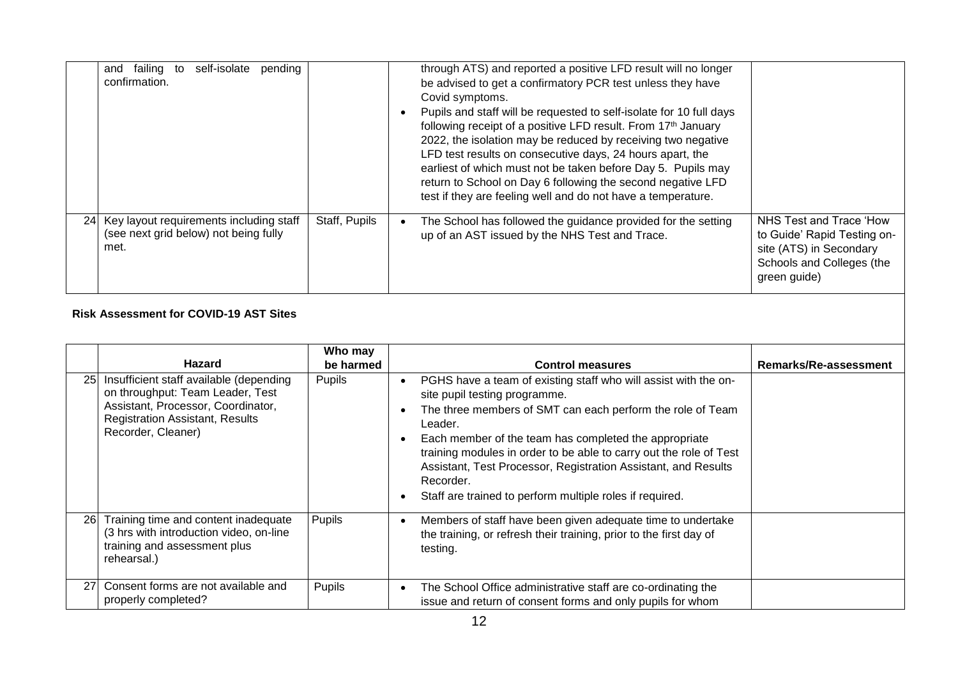| and failing to<br>self-isolate<br>pending<br>confirmation.                                  |               | through ATS) and reported a positive LFD result will no longer<br>be advised to get a confirmatory PCR test unless they have<br>Covid symptoms.<br>Pupils and staff will be requested to self-isolate for 10 full days<br>following receipt of a positive LFD result. From 17th January<br>2022, the isolation may be reduced by receiving two negative<br>LFD test results on consecutive days, 24 hours apart, the<br>earliest of which must not be taken before Day 5. Pupils may<br>return to School on Day 6 following the second negative LFD<br>test if they are feeling well and do not have a temperature. |                                                                                                                                |
|---------------------------------------------------------------------------------------------|---------------|---------------------------------------------------------------------------------------------------------------------------------------------------------------------------------------------------------------------------------------------------------------------------------------------------------------------------------------------------------------------------------------------------------------------------------------------------------------------------------------------------------------------------------------------------------------------------------------------------------------------|--------------------------------------------------------------------------------------------------------------------------------|
| 24 Key layout requirements including staff<br>(see next grid below) not being fully<br>met. | Staff, Pupils | The School has followed the guidance provided for the setting<br>up of an AST issued by the NHS Test and Trace.                                                                                                                                                                                                                                                                                                                                                                                                                                                                                                     | NHS Test and Trace 'How<br>to Guide' Rapid Testing on-<br>site (ATS) in Secondary<br>Schools and Colleges (the<br>green guide) |

#### **Risk Assessment for COVID-19 AST Sites**

|    | <b>Hazard</b>                                                                                                                                                                     | Who may<br>be harmed | <b>Control measures</b>                                                                                                                                                                                                                                                                                                                                                                                                                             | Remarks/Re-assessment |
|----|-----------------------------------------------------------------------------------------------------------------------------------------------------------------------------------|----------------------|-----------------------------------------------------------------------------------------------------------------------------------------------------------------------------------------------------------------------------------------------------------------------------------------------------------------------------------------------------------------------------------------------------------------------------------------------------|-----------------------|
| 25 | Insufficient staff available (depending<br>on throughput: Team Leader, Test<br>Assistant, Processor, Coordinator,<br><b>Registration Assistant, Results</b><br>Recorder, Cleaner) | <b>Pupils</b>        | PGHS have a team of existing staff who will assist with the on-<br>site pupil testing programme.<br>The three members of SMT can each perform the role of Team<br>Leader.<br>Each member of the team has completed the appropriate<br>training modules in order to be able to carry out the role of Test<br>Assistant, Test Processor, Registration Assistant, and Results<br>Recorder.<br>Staff are trained to perform multiple roles if required. |                       |
| 26 | Training time and content inadequate<br>(3 hrs with introduction video, on-line<br>training and assessment plus<br>rehearsal.)                                                    | <b>Pupils</b>        | Members of staff have been given adequate time to undertake<br>the training, or refresh their training, prior to the first day of<br>testing.                                                                                                                                                                                                                                                                                                       |                       |
| 27 | Consent forms are not available and<br>properly completed?                                                                                                                        | Pupils               | The School Office administrative staff are co-ordinating the<br>issue and return of consent forms and only pupils for whom                                                                                                                                                                                                                                                                                                                          |                       |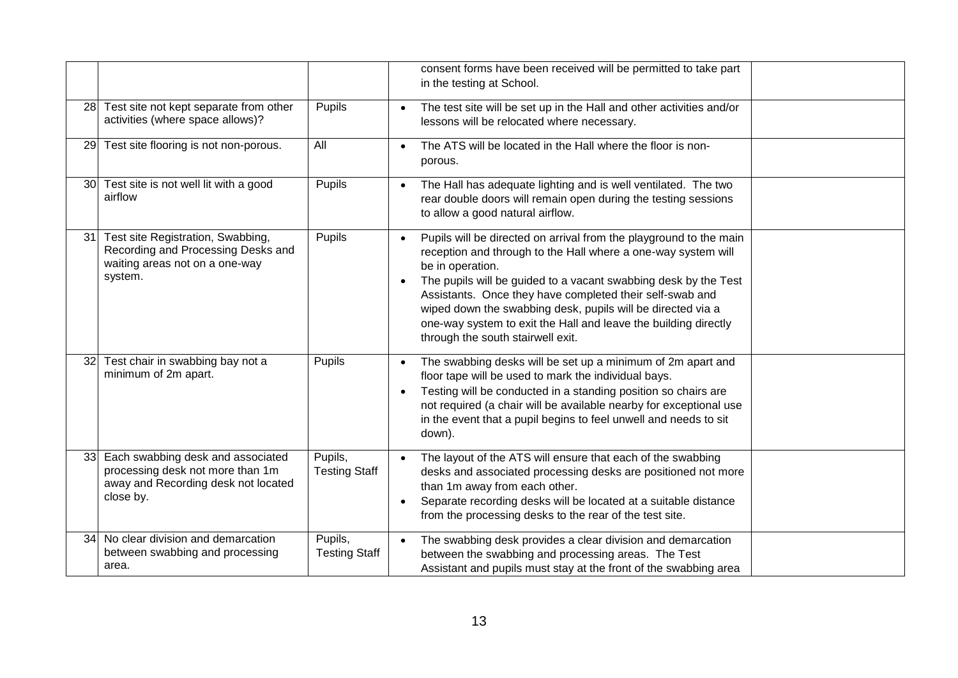|           |                                                                                                                           |                                 | consent forms have been received will be permitted to take part<br>in the testing at School.                                                                                                                                                                                                                                                                                                                                                                                            |
|-----------|---------------------------------------------------------------------------------------------------------------------------|---------------------------------|-----------------------------------------------------------------------------------------------------------------------------------------------------------------------------------------------------------------------------------------------------------------------------------------------------------------------------------------------------------------------------------------------------------------------------------------------------------------------------------------|
|           | 28 Test site not kept separate from other<br>activities (where space allows)?                                             | Pupils                          | The test site will be set up in the Hall and other activities and/or<br>lessons will be relocated where necessary.                                                                                                                                                                                                                                                                                                                                                                      |
| <b>29</b> | Test site flooring is not non-porous.                                                                                     | All                             | The ATS will be located in the Hall where the floor is non-<br>$\bullet$<br>porous.                                                                                                                                                                                                                                                                                                                                                                                                     |
|           | 30 Test site is not well lit with a good<br>airflow                                                                       | Pupils                          | The Hall has adequate lighting and is well ventilated. The two<br>$\bullet$<br>rear double doors will remain open during the testing sessions<br>to allow a good natural airflow.                                                                                                                                                                                                                                                                                                       |
| 31        | Test site Registration, Swabbing,<br>Recording and Processing Desks and<br>waiting areas not on a one-way<br>system.      | Pupils                          | Pupils will be directed on arrival from the playground to the main<br>$\bullet$<br>reception and through to the Hall where a one-way system will<br>be in operation.<br>The pupils will be guided to a vacant swabbing desk by the Test<br>$\bullet$<br>Assistants. Once they have completed their self-swab and<br>wiped down the swabbing desk, pupils will be directed via a<br>one-way system to exit the Hall and leave the building directly<br>through the south stairwell exit. |
| 32        | Test chair in swabbing bay not a<br>minimum of 2m apart.                                                                  | Pupils                          | The swabbing desks will be set up a minimum of 2m apart and<br>$\bullet$<br>floor tape will be used to mark the individual bays.<br>Testing will be conducted in a standing position so chairs are<br>$\bullet$<br>not required (a chair will be available nearby for exceptional use<br>in the event that a pupil begins to feel unwell and needs to sit<br>down).                                                                                                                     |
| 33        | Each swabbing desk and associated<br>processing desk not more than 1m<br>away and Recording desk not located<br>close by. | Pupils,<br><b>Testing Staff</b> | The layout of the ATS will ensure that each of the swabbing<br>$\bullet$<br>desks and associated processing desks are positioned not more<br>than 1m away from each other.<br>Separate recording desks will be located at a suitable distance<br>$\bullet$<br>from the processing desks to the rear of the test site.                                                                                                                                                                   |
| 34        | No clear division and demarcation<br>between swabbing and processing<br>area.                                             | Pupils,<br><b>Testing Staff</b> | The swabbing desk provides a clear division and demarcation<br>$\bullet$<br>between the swabbing and processing areas. The Test<br>Assistant and pupils must stay at the front of the swabbing area                                                                                                                                                                                                                                                                                     |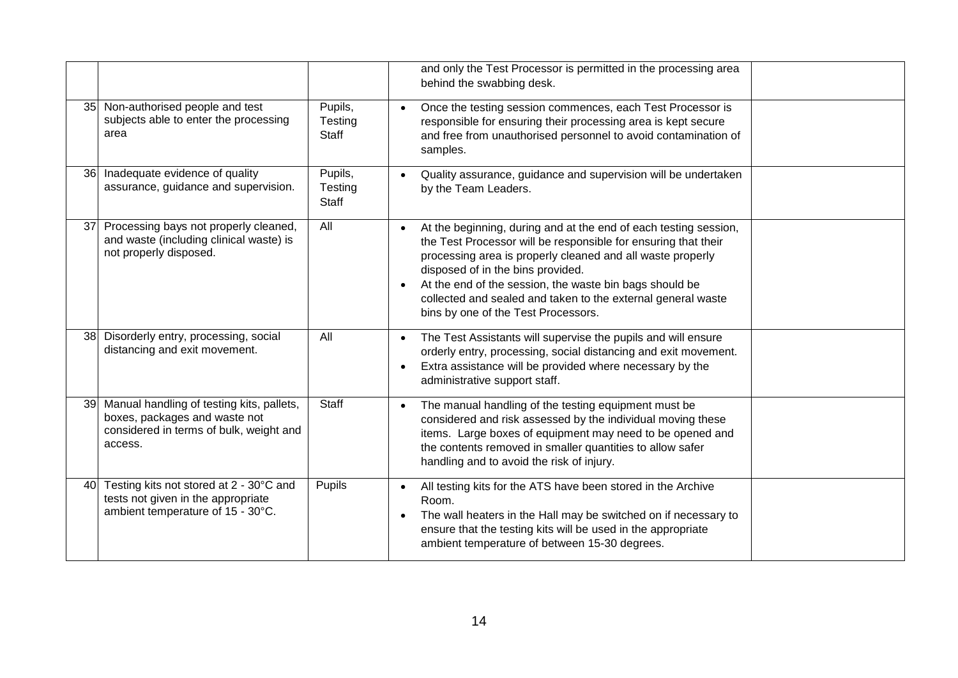|           |                                                                                                                                  |                                    | and only the Test Processor is permitted in the processing area<br>behind the swabbing desk.                                                                                                                                                                                                                                                                                                                                      |
|-----------|----------------------------------------------------------------------------------------------------------------------------------|------------------------------------|-----------------------------------------------------------------------------------------------------------------------------------------------------------------------------------------------------------------------------------------------------------------------------------------------------------------------------------------------------------------------------------------------------------------------------------|
|           | 35 Non-authorised people and test<br>subjects able to enter the processing<br>area                                               | Pupils,<br>Testing<br><b>Staff</b> | Once the testing session commences, each Test Processor is<br>$\bullet$<br>responsible for ensuring their processing area is kept secure<br>and free from unauthorised personnel to avoid contamination of<br>samples.                                                                                                                                                                                                            |
| <b>36</b> | Inadequate evidence of quality<br>assurance, guidance and supervision.                                                           | Pupils,<br>Testing<br>Staff        | Quality assurance, guidance and supervision will be undertaken<br>$\bullet$<br>by the Team Leaders.                                                                                                                                                                                                                                                                                                                               |
| 37        | Processing bays not properly cleaned,<br>and waste (including clinical waste) is<br>not properly disposed.                       | All                                | At the beginning, during and at the end of each testing session,<br>$\bullet$<br>the Test Processor will be responsible for ensuring that their<br>processing area is properly cleaned and all waste properly<br>disposed of in the bins provided.<br>At the end of the session, the waste bin bags should be<br>$\bullet$<br>collected and sealed and taken to the external general waste<br>bins by one of the Test Processors. |
| 38        | Disorderly entry, processing, social<br>distancing and exit movement.                                                            | All                                | The Test Assistants will supervise the pupils and will ensure<br>$\bullet$<br>orderly entry, processing, social distancing and exit movement.<br>Extra assistance will be provided where necessary by the<br>$\bullet$<br>administrative support staff.                                                                                                                                                                           |
| 39 I      | Manual handling of testing kits, pallets,<br>boxes, packages and waste not<br>considered in terms of bulk, weight and<br>access. | <b>Staff</b>                       | The manual handling of the testing equipment must be<br>$\bullet$<br>considered and risk assessed by the individual moving these<br>items. Large boxes of equipment may need to be opened and<br>the contents removed in smaller quantities to allow safer<br>handling and to avoid the risk of injury.                                                                                                                           |
| 40        | Testing kits not stored at 2 - 30°C and<br>tests not given in the appropriate<br>ambient temperature of 15 - 30°C.               | Pupils                             | All testing kits for the ATS have been stored in the Archive<br>$\bullet$<br>Room.<br>The wall heaters in the Hall may be switched on if necessary to<br>$\bullet$<br>ensure that the testing kits will be used in the appropriate<br>ambient temperature of between 15-30 degrees.                                                                                                                                               |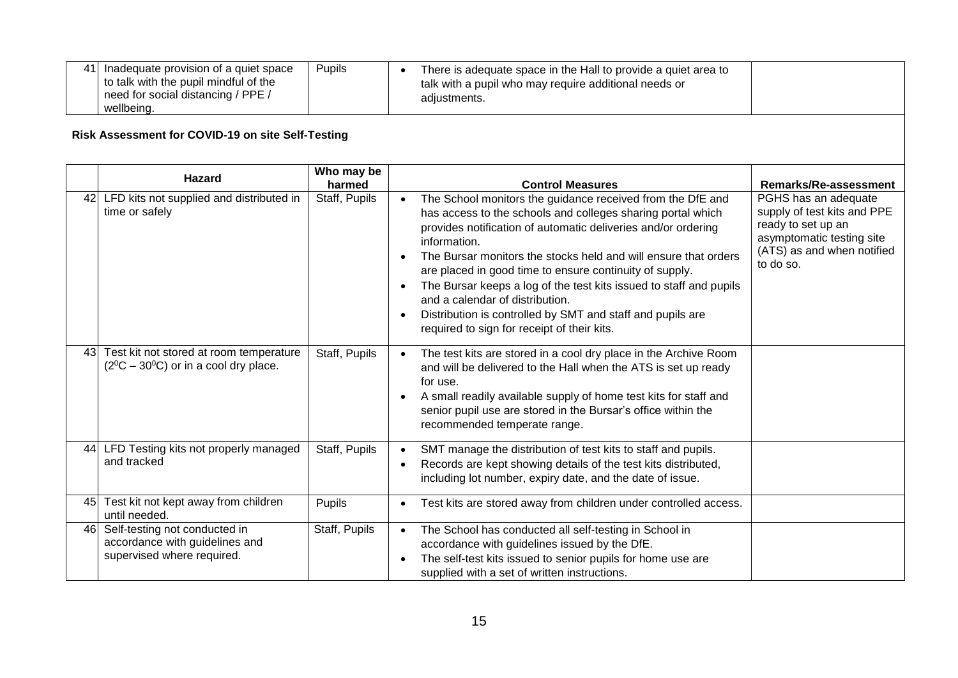| 41 Inadequate provision of a quiet space<br>Pupils<br>to talk with the pupil mindful of the<br>need for social distancing / PPE /<br>wellbeing. | There is adequate space in the Hall to provide a quiet area to<br>talk with a pupil who may require additional needs or<br>adjustments. |  |
|-------------------------------------------------------------------------------------------------------------------------------------------------|-----------------------------------------------------------------------------------------------------------------------------------------|--|
|-------------------------------------------------------------------------------------------------------------------------------------------------|-----------------------------------------------------------------------------------------------------------------------------------------|--|

## **Risk Assessment for COVID-19 on site Self-Testing**

|    | <b>Hazard</b>                                                                                 | Who may be<br>harmed | <b>Control Measures</b>                                                                                                                                                                                                                                                                                                                                                                                                                                                                                                                                                                  | Remarks/Re-assessment                                                                                                                             |
|----|-----------------------------------------------------------------------------------------------|----------------------|------------------------------------------------------------------------------------------------------------------------------------------------------------------------------------------------------------------------------------------------------------------------------------------------------------------------------------------------------------------------------------------------------------------------------------------------------------------------------------------------------------------------------------------------------------------------------------------|---------------------------------------------------------------------------------------------------------------------------------------------------|
| 42 | LFD kits not supplied and distributed in<br>time or safely                                    | Staff, Pupils        | The School monitors the guidance received from the DfE and<br>$\bullet$<br>has access to the schools and colleges sharing portal which<br>provides notification of automatic deliveries and/or ordering<br>information.<br>The Bursar monitors the stocks held and will ensure that orders<br>are placed in good time to ensure continuity of supply.<br>The Bursar keeps a log of the test kits issued to staff and pupils<br>and a calendar of distribution.<br>Distribution is controlled by SMT and staff and pupils are<br>$\bullet$<br>required to sign for receipt of their kits. | PGHS has an adequate<br>supply of test kits and PPE<br>ready to set up an<br>asymptomatic testing site<br>(ATS) as and when notified<br>to do so. |
| 43 | Test kit not stored at room temperature<br>$(2^0C - 30^0C)$ or in a cool dry place.           | Staff, Pupils        | The test kits are stored in a cool dry place in the Archive Room<br>$\bullet$<br>and will be delivered to the Hall when the ATS is set up ready<br>for use.<br>A small readily available supply of home test kits for staff and<br>senior pupil use are stored in the Bursar's office within the<br>recommended temperate range.                                                                                                                                                                                                                                                         |                                                                                                                                                   |
| 44 | LFD Testing kits not properly managed<br>and tracked                                          | Staff, Pupils        | SMT manage the distribution of test kits to staff and pupils.<br>$\bullet$<br>Records are kept showing details of the test kits distributed,<br>$\bullet$<br>including lot number, expiry date, and the date of issue.                                                                                                                                                                                                                                                                                                                                                                   |                                                                                                                                                   |
| 45 | Test kit not kept away from children<br>until needed.                                         | Pupils               | Test kits are stored away from children under controlled access.                                                                                                                                                                                                                                                                                                                                                                                                                                                                                                                         |                                                                                                                                                   |
| 46 | Self-testing not conducted in<br>accordance with guidelines and<br>supervised where required. | Staff, Pupils        | The School has conducted all self-testing in School in<br>accordance with guidelines issued by the DfE.<br>The self-test kits issued to senior pupils for home use are<br>supplied with a set of written instructions.                                                                                                                                                                                                                                                                                                                                                                   |                                                                                                                                                   |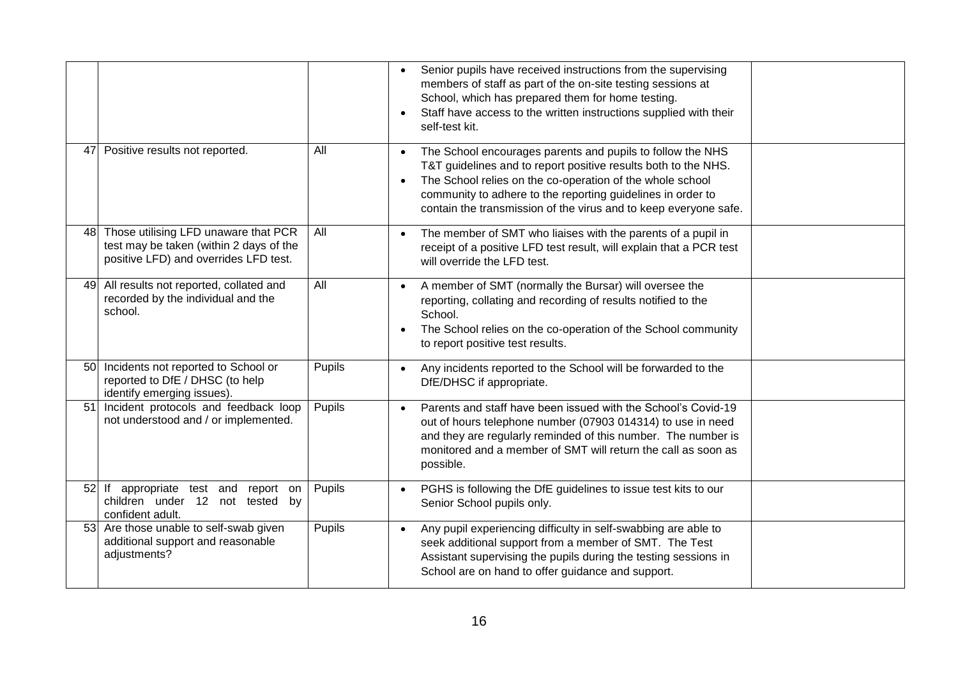|    |                                                                                                                          |        | Senior pupils have received instructions from the supervising<br>$\bullet$<br>members of staff as part of the on-site testing sessions at<br>School, which has prepared them for home testing.<br>Staff have access to the written instructions supplied with their<br>$\bullet$<br>self-test kit.                                                     |
|----|--------------------------------------------------------------------------------------------------------------------------|--------|--------------------------------------------------------------------------------------------------------------------------------------------------------------------------------------------------------------------------------------------------------------------------------------------------------------------------------------------------------|
| 47 | Positive results not reported.                                                                                           | All    | The School encourages parents and pupils to follow the NHS<br>$\bullet$<br>T&T guidelines and to report positive results both to the NHS.<br>The School relies on the co-operation of the whole school<br>$\bullet$<br>community to adhere to the reporting guidelines in order to<br>contain the transmission of the virus and to keep everyone safe. |
| 48 | Those utilising LFD unaware that PCR<br>test may be taken (within 2 days of the<br>positive LFD) and overrides LFD test. | All    | The member of SMT who liaises with the parents of a pupil in<br>$\bullet$<br>receipt of a positive LFD test result, will explain that a PCR test<br>will override the LFD test.                                                                                                                                                                        |
| 49 | All results not reported, collated and<br>recorded by the individual and the<br>school.                                  | All    | A member of SMT (normally the Bursar) will oversee the<br>$\bullet$<br>reporting, collating and recording of results notified to the<br>School.<br>The School relies on the co-operation of the School community<br>$\bullet$<br>to report positive test results.                                                                                      |
| 50 | Incidents not reported to School or<br>reported to DfE / DHSC (to help<br>identify emerging issues).                     | Pupils | Any incidents reported to the School will be forwarded to the<br>$\bullet$<br>DfE/DHSC if appropriate.                                                                                                                                                                                                                                                 |
| 51 | Incident protocols and feedback loop<br>not understood and / or implemented.                                             | Pupils | Parents and staff have been issued with the School's Covid-19<br>$\bullet$<br>out of hours telephone number (07903 014314) to use in need<br>and they are regularly reminded of this number. The number is<br>monitored and a member of SMT will return the call as soon as<br>possible.                                                               |
|    | 52 If appropriate test and report on<br>children under 12 not tested by<br>confident adult.                              | Pupils | PGHS is following the DfE guidelines to issue test kits to our<br>$\bullet$<br>Senior School pupils only.                                                                                                                                                                                                                                              |
| 53 | Are those unable to self-swab given<br>additional support and reasonable<br>adjustments?                                 | Pupils | Any pupil experiencing difficulty in self-swabbing are able to<br>$\bullet$<br>seek additional support from a member of SMT. The Test<br>Assistant supervising the pupils during the testing sessions in<br>School are on hand to offer guidance and support.                                                                                          |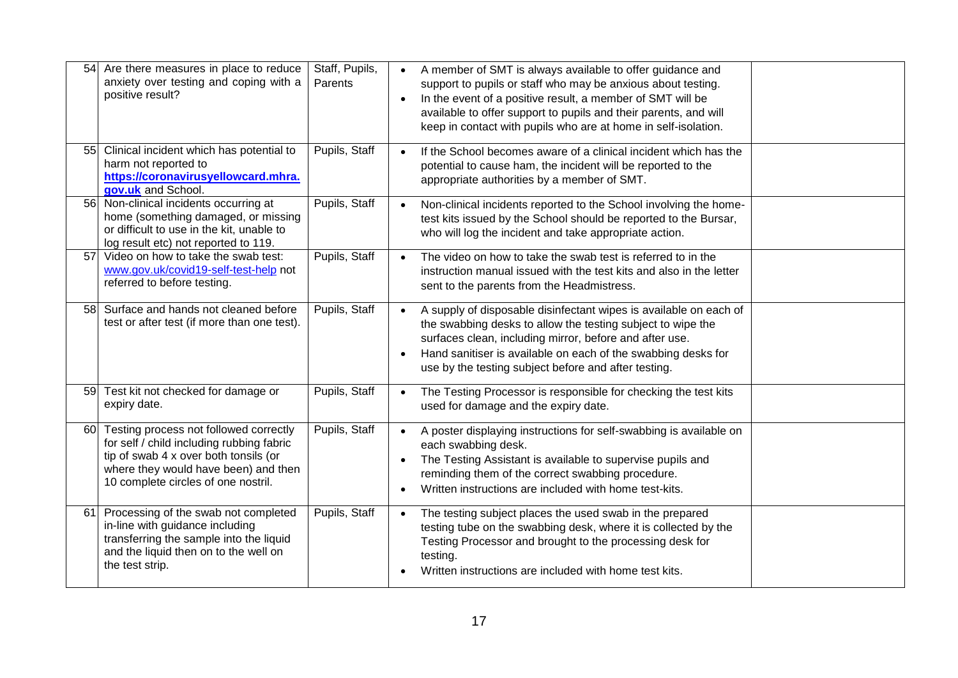| 54 | Are there measures in place to reduce<br>anxiety over testing and coping with a<br>positive result?                                                                                                         | Staff, Pupils,<br>Parents | A member of SMT is always available to offer guidance and<br>$\bullet$<br>support to pupils or staff who may be anxious about testing.<br>In the event of a positive result, a member of SMT will be<br>$\bullet$<br>available to offer support to pupils and their parents, and will<br>keep in contact with pupils who are at home in self-isolation. |  |
|----|-------------------------------------------------------------------------------------------------------------------------------------------------------------------------------------------------------------|---------------------------|---------------------------------------------------------------------------------------------------------------------------------------------------------------------------------------------------------------------------------------------------------------------------------------------------------------------------------------------------------|--|
| 55 | Clinical incident which has potential to<br>harm not reported to<br>https://coronavirusyellowcard.mhra.<br>gov.uk and School.                                                                               | Pupils, Staff             | If the School becomes aware of a clinical incident which has the<br>$\bullet$<br>potential to cause ham, the incident will be reported to the<br>appropriate authorities by a member of SMT.                                                                                                                                                            |  |
|    | 56 Non-clinical incidents occurring at<br>home (something damaged, or missing<br>or difficult to use in the kit, unable to<br>log result etc) not reported to 119.                                          | Pupils, Staff             | Non-clinical incidents reported to the School involving the home-<br>$\bullet$<br>test kits issued by the School should be reported to the Bursar,<br>who will log the incident and take appropriate action.                                                                                                                                            |  |
| 57 | Video on how to take the swab test:<br>www.gov.uk/covid19-self-test-help not<br>referred to before testing.                                                                                                 | Pupils, Staff             | The video on how to take the swab test is referred to in the<br>$\bullet$<br>instruction manual issued with the test kits and also in the letter<br>sent to the parents from the Headmistress.                                                                                                                                                          |  |
| 58 | Surface and hands not cleaned before<br>test or after test (if more than one test).                                                                                                                         | Pupils, Staff             | A supply of disposable disinfectant wipes is available on each of<br>$\bullet$<br>the swabbing desks to allow the testing subject to wipe the<br>surfaces clean, including mirror, before and after use.<br>Hand sanitiser is available on each of the swabbing desks for<br>$\bullet$<br>use by the testing subject before and after testing.          |  |
|    | 59 Test kit not checked for damage or<br>expiry date.                                                                                                                                                       | Pupils, Staff             | The Testing Processor is responsible for checking the test kits<br>$\bullet$<br>used for damage and the expiry date.                                                                                                                                                                                                                                    |  |
| 60 | Testing process not followed correctly<br>for self / child including rubbing fabric<br>tip of swab 4 x over both tonsils (or<br>where they would have been) and then<br>10 complete circles of one nostril. | Pupils, Staff             | A poster displaying instructions for self-swabbing is available on<br>$\bullet$<br>each swabbing desk.<br>The Testing Assistant is available to supervise pupils and<br>$\bullet$<br>reminding them of the correct swabbing procedure.<br>Written instructions are included with home test-kits.<br>٠                                                   |  |
| 61 | Processing of the swab not completed<br>in-line with guidance including<br>transferring the sample into the liquid<br>and the liquid then on to the well on<br>the test strip.                              | Pupils, Staff             | The testing subject places the used swab in the prepared<br>$\bullet$<br>testing tube on the swabbing desk, where it is collected by the<br>Testing Processor and brought to the processing desk for<br>testing.<br>Written instructions are included with home test kits.                                                                              |  |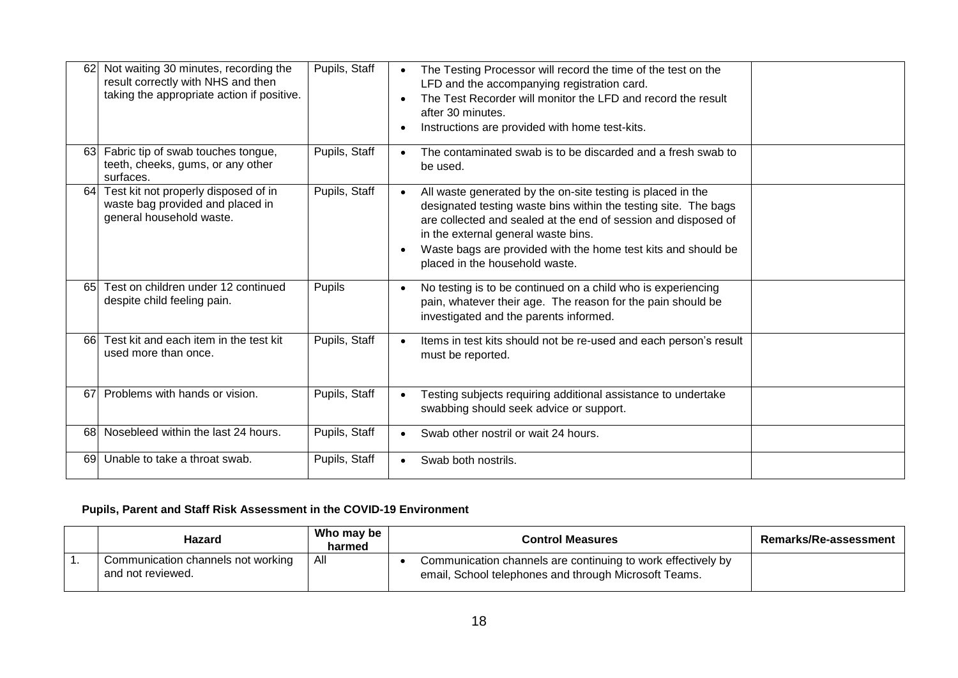| 62  | Not waiting 30 minutes, recording the<br>result correctly with NHS and then<br>taking the appropriate action if positive. | Pupils, Staff | The Testing Processor will record the time of the test on the<br>$\bullet$<br>LFD and the accompanying registration card.<br>The Test Recorder will monitor the LFD and record the result<br>$\bullet$<br>after 30 minutes.<br>Instructions are provided with home test-kits.<br>$\bullet$                                                                           |
|-----|---------------------------------------------------------------------------------------------------------------------------|---------------|----------------------------------------------------------------------------------------------------------------------------------------------------------------------------------------------------------------------------------------------------------------------------------------------------------------------------------------------------------------------|
| 63  | Fabric tip of swab touches tongue,<br>teeth, cheeks, gums, or any other<br>surfaces.                                      | Pupils, Staff | The contaminated swab is to be discarded and a fresh swab to<br>$\bullet$<br>be used.                                                                                                                                                                                                                                                                                |
| 64I | Test kit not properly disposed of in<br>waste bag provided and placed in<br>general household waste.                      | Pupils, Staff | All waste generated by the on-site testing is placed in the<br>$\bullet$<br>designated testing waste bins within the testing site. The bags<br>are collected and sealed at the end of session and disposed of<br>in the external general waste bins.<br>Waste bags are provided with the home test kits and should be<br>$\bullet$<br>placed in the household waste. |
| 65  | Test on children under 12 continued<br>despite child feeling pain.                                                        | Pupils        | No testing is to be continued on a child who is experiencing<br>$\bullet$<br>pain, whatever their age. The reason for the pain should be<br>investigated and the parents informed.                                                                                                                                                                                   |
| 661 | Test kit and each item in the test kit<br>used more than once.                                                            | Pupils, Staff | Items in test kits should not be re-used and each person's result<br>$\bullet$<br>must be reported.                                                                                                                                                                                                                                                                  |
| 67  | Problems with hands or vision.                                                                                            | Pupils, Staff | Testing subjects requiring additional assistance to undertake<br>$\bullet$<br>swabbing should seek advice or support.                                                                                                                                                                                                                                                |
| 681 | Nosebleed within the last 24 hours.                                                                                       | Pupils, Staff | Swab other nostril or wait 24 hours.<br>$\bullet$                                                                                                                                                                                                                                                                                                                    |
| 691 | Unable to take a throat swab.                                                                                             | Pupils, Staff | Swab both nostrils.<br>$\bullet$                                                                                                                                                                                                                                                                                                                                     |

## **Pupils, Parent and Staff Risk Assessment in the COVID-19 Environment**

| Hazard                                                  | Who may be<br>harmed | <b>Control Measures</b>                                                                                               | Remarks/Re-assessment |
|---------------------------------------------------------|----------------------|-----------------------------------------------------------------------------------------------------------------------|-----------------------|
| Communication channels not working<br>and not reviewed. | All                  | Communication channels are continuing to work effectively by<br>email, School telephones and through Microsoft Teams. |                       |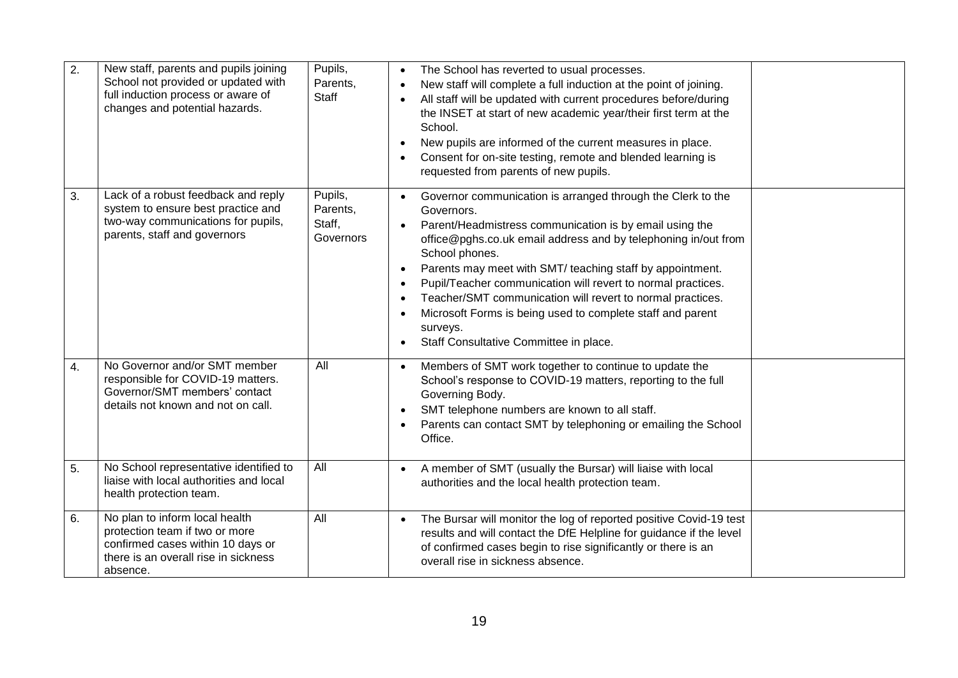| 2. | New staff, parents and pupils joining<br>School not provided or updated with<br>full induction process or aware of<br>changes and potential hazards.      | Pupils,<br>Parents,<br><b>Staff</b>        | The School has reverted to usual processes.<br>New staff will complete a full induction at the point of joining.<br>$\bullet$<br>All staff will be updated with current procedures before/during<br>the INSET at start of new academic year/their first term at the<br>School.<br>New pupils are informed of the current measures in place.<br>$\bullet$<br>Consent for on-site testing, remote and blended learning is<br>$\bullet$<br>requested from parents of new pupils.                                                                                                                                         |
|----|-----------------------------------------------------------------------------------------------------------------------------------------------------------|--------------------------------------------|-----------------------------------------------------------------------------------------------------------------------------------------------------------------------------------------------------------------------------------------------------------------------------------------------------------------------------------------------------------------------------------------------------------------------------------------------------------------------------------------------------------------------------------------------------------------------------------------------------------------------|
| 3. | Lack of a robust feedback and reply<br>system to ensure best practice and<br>two-way communications for pupils,<br>parents, staff and governors           | Pupils,<br>Parents,<br>Staff,<br>Governors | Governor communication is arranged through the Clerk to the<br>$\bullet$<br>Governors.<br>Parent/Headmistress communication is by email using the<br>$\bullet$<br>office@pghs.co.uk email address and by telephoning in/out from<br>School phones.<br>Parents may meet with SMT/ teaching staff by appointment.<br>$\bullet$<br>Pupil/Teacher communication will revert to normal practices.<br>$\bullet$<br>Teacher/SMT communication will revert to normal practices.<br>$\bullet$<br>Microsoft Forms is being used to complete staff and parent<br>$\bullet$<br>surveys.<br>Staff Consultative Committee in place. |
| 4. | No Governor and/or SMT member<br>responsible for COVID-19 matters.<br>Governor/SMT members' contact<br>details not known and not on call.                 | All                                        | Members of SMT work together to continue to update the<br>$\bullet$<br>School's response to COVID-19 matters, reporting to the full<br>Governing Body.<br>SMT telephone numbers are known to all staff.<br>$\bullet$<br>Parents can contact SMT by telephoning or emailing the School<br>Office.                                                                                                                                                                                                                                                                                                                      |
| 5. | No School representative identified to<br>liaise with local authorities and local<br>health protection team.                                              | All                                        | A member of SMT (usually the Bursar) will liaise with local<br>$\bullet$<br>authorities and the local health protection team.                                                                                                                                                                                                                                                                                                                                                                                                                                                                                         |
| 6. | No plan to inform local health<br>protection team if two or more<br>confirmed cases within 10 days or<br>there is an overall rise in sickness<br>absence. | All                                        | The Bursar will monitor the log of reported positive Covid-19 test<br>$\bullet$<br>results and will contact the DfE Helpline for guidance if the level<br>of confirmed cases begin to rise significantly or there is an<br>overall rise in sickness absence.                                                                                                                                                                                                                                                                                                                                                          |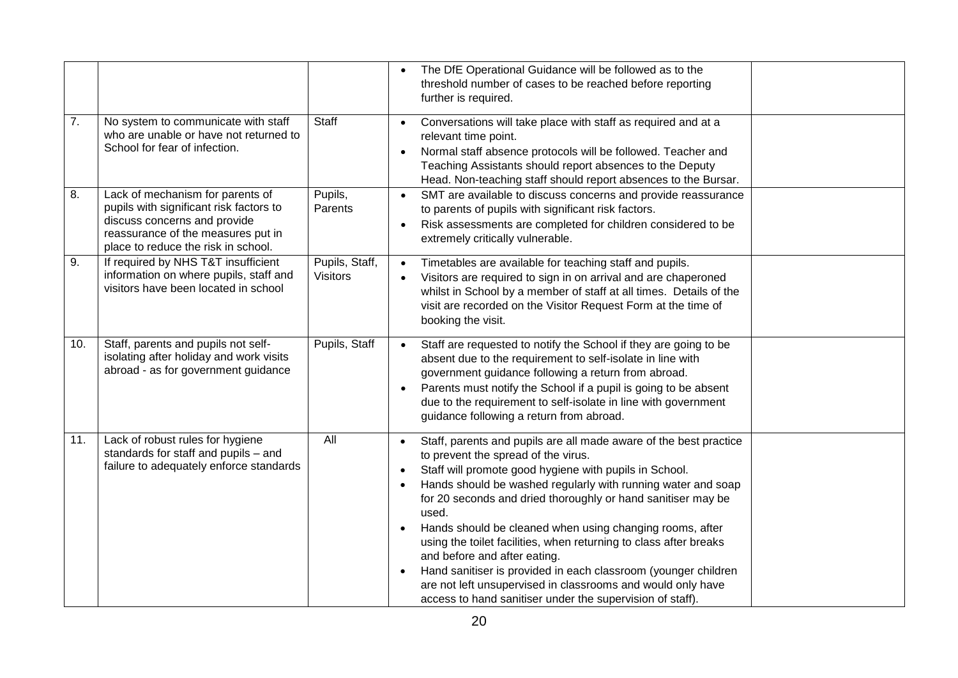|     |                                                                                                                                                                                          |                                   | The DfE Operational Guidance will be followed as to the<br>$\bullet$<br>threshold number of cases to be reached before reporting<br>further is required.                                                                                                                                                                                                                                                                                                                                                                                                                                                                                                                                                                       |
|-----|------------------------------------------------------------------------------------------------------------------------------------------------------------------------------------------|-----------------------------------|--------------------------------------------------------------------------------------------------------------------------------------------------------------------------------------------------------------------------------------------------------------------------------------------------------------------------------------------------------------------------------------------------------------------------------------------------------------------------------------------------------------------------------------------------------------------------------------------------------------------------------------------------------------------------------------------------------------------------------|
| 7.  | No system to communicate with staff<br>who are unable or have not returned to<br>School for fear of infection.                                                                           | Staff                             | Conversations will take place with staff as required and at a<br>$\bullet$<br>relevant time point.<br>Normal staff absence protocols will be followed. Teacher and<br>$\bullet$<br>Teaching Assistants should report absences to the Deputy<br>Head. Non-teaching staff should report absences to the Bursar.                                                                                                                                                                                                                                                                                                                                                                                                                  |
| 8.  | Lack of mechanism for parents of<br>pupils with significant risk factors to<br>discuss concerns and provide<br>reassurance of the measures put in<br>place to reduce the risk in school. | Pupils,<br>Parents                | SMT are available to discuss concerns and provide reassurance<br>$\bullet$<br>to parents of pupils with significant risk factors.<br>Risk assessments are completed for children considered to be<br>$\bullet$<br>extremely critically vulnerable.                                                                                                                                                                                                                                                                                                                                                                                                                                                                             |
| 9.  | If required by NHS T&T insufficient<br>information on where pupils, staff and<br>visitors have been located in school                                                                    | Pupils, Staff,<br><b>Visitors</b> | Timetables are available for teaching staff and pupils.<br>$\bullet$<br>Visitors are required to sign in on arrival and are chaperoned<br>$\bullet$<br>whilst in School by a member of staff at all times. Details of the<br>visit are recorded on the Visitor Request Form at the time of<br>booking the visit.                                                                                                                                                                                                                                                                                                                                                                                                               |
| 10. | Staff, parents and pupils not self-<br>isolating after holiday and work visits<br>abroad - as for government guidance                                                                    | Pupils, Staff                     | Staff are requested to notify the School if they are going to be<br>$\bullet$<br>absent due to the requirement to self-isolate in line with<br>government guidance following a return from abroad.<br>Parents must notify the School if a pupil is going to be absent<br>$\bullet$<br>due to the requirement to self-isolate in line with government<br>guidance following a return from abroad.                                                                                                                                                                                                                                                                                                                               |
| 11. | Lack of robust rules for hygiene<br>standards for staff and pupils - and<br>failure to adequately enforce standards                                                                      | All                               | Staff, parents and pupils are all made aware of the best practice<br>$\bullet$<br>to prevent the spread of the virus.<br>Staff will promote good hygiene with pupils in School.<br>$\bullet$<br>Hands should be washed regularly with running water and soap<br>$\bullet$<br>for 20 seconds and dried thoroughly or hand sanitiser may be<br>used.<br>Hands should be cleaned when using changing rooms, after<br>using the toilet facilities, when returning to class after breaks<br>and before and after eating.<br>Hand sanitiser is provided in each classroom (younger children<br>$\bullet$<br>are not left unsupervised in classrooms and would only have<br>access to hand sanitiser under the supervision of staff). |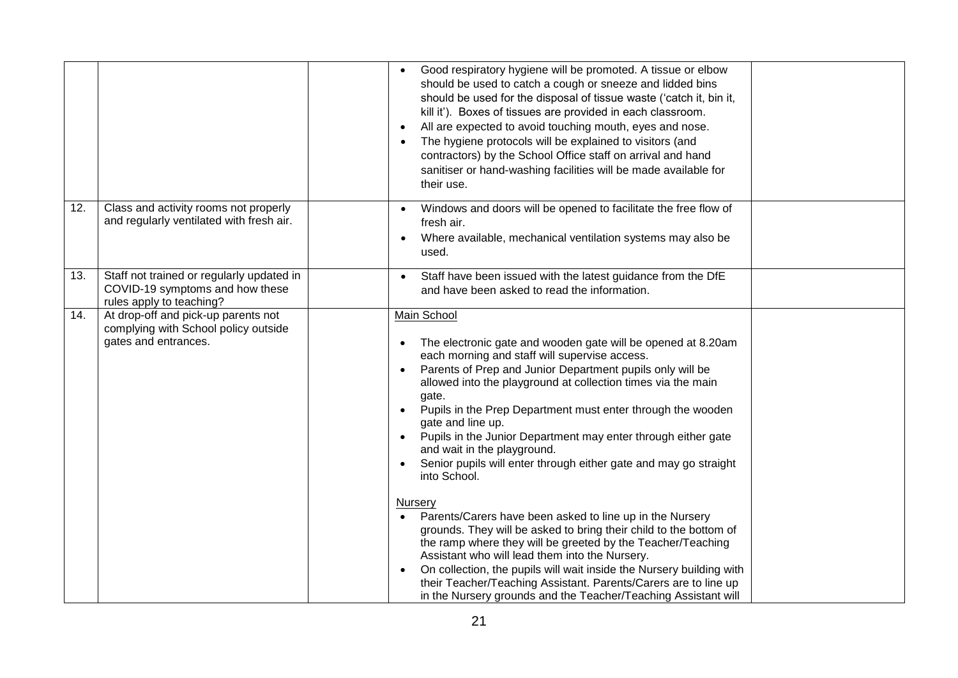|     |                                                                                                          | Good respiratory hygiene will be promoted. A tissue or elbow<br>should be used to catch a cough or sneeze and lidded bins<br>should be used for the disposal of tissue waste ('catch it, bin it,<br>kill it'). Boxes of tissues are provided in each classroom.<br>All are expected to avoid touching mouth, eyes and nose.<br>The hygiene protocols will be explained to visitors (and<br>contractors) by the School Office staff on arrival and hand<br>sanitiser or hand-washing facilities will be made available for<br>their use.                                                                                                                                                                                                                                                                                                                                                                                                                                                                                                               |  |
|-----|----------------------------------------------------------------------------------------------------------|-------------------------------------------------------------------------------------------------------------------------------------------------------------------------------------------------------------------------------------------------------------------------------------------------------------------------------------------------------------------------------------------------------------------------------------------------------------------------------------------------------------------------------------------------------------------------------------------------------------------------------------------------------------------------------------------------------------------------------------------------------------------------------------------------------------------------------------------------------------------------------------------------------------------------------------------------------------------------------------------------------------------------------------------------------|--|
| 12. | Class and activity rooms not properly<br>and regularly ventilated with fresh air.                        | Windows and doors will be opened to facilitate the free flow of<br>fresh air.<br>Where available, mechanical ventilation systems may also be<br>$\bullet$<br>used.                                                                                                                                                                                                                                                                                                                                                                                                                                                                                                                                                                                                                                                                                                                                                                                                                                                                                    |  |
| 13. | Staff not trained or regularly updated in<br>COVID-19 symptoms and how these<br>rules apply to teaching? | Staff have been issued with the latest guidance from the DfE<br>and have been asked to read the information.                                                                                                                                                                                                                                                                                                                                                                                                                                                                                                                                                                                                                                                                                                                                                                                                                                                                                                                                          |  |
| 14. | At drop-off and pick-up parents not<br>complying with School policy outside<br>gates and entrances.      | Main School<br>The electronic gate and wooden gate will be opened at 8.20am<br>each morning and staff will supervise access.<br>Parents of Prep and Junior Department pupils only will be<br>$\bullet$<br>allowed into the playground at collection times via the main<br>gate.<br>Pupils in the Prep Department must enter through the wooden<br>gate and line up.<br>Pupils in the Junior Department may enter through either gate<br>and wait in the playground.<br>Senior pupils will enter through either gate and may go straight<br>into School.<br><b>Nursery</b><br>Parents/Carers have been asked to line up in the Nursery<br>$\bullet$<br>grounds. They will be asked to bring their child to the bottom of<br>the ramp where they will be greeted by the Teacher/Teaching<br>Assistant who will lead them into the Nursery.<br>On collection, the pupils will wait inside the Nursery building with<br>their Teacher/Teaching Assistant. Parents/Carers are to line up<br>in the Nursery grounds and the Teacher/Teaching Assistant will |  |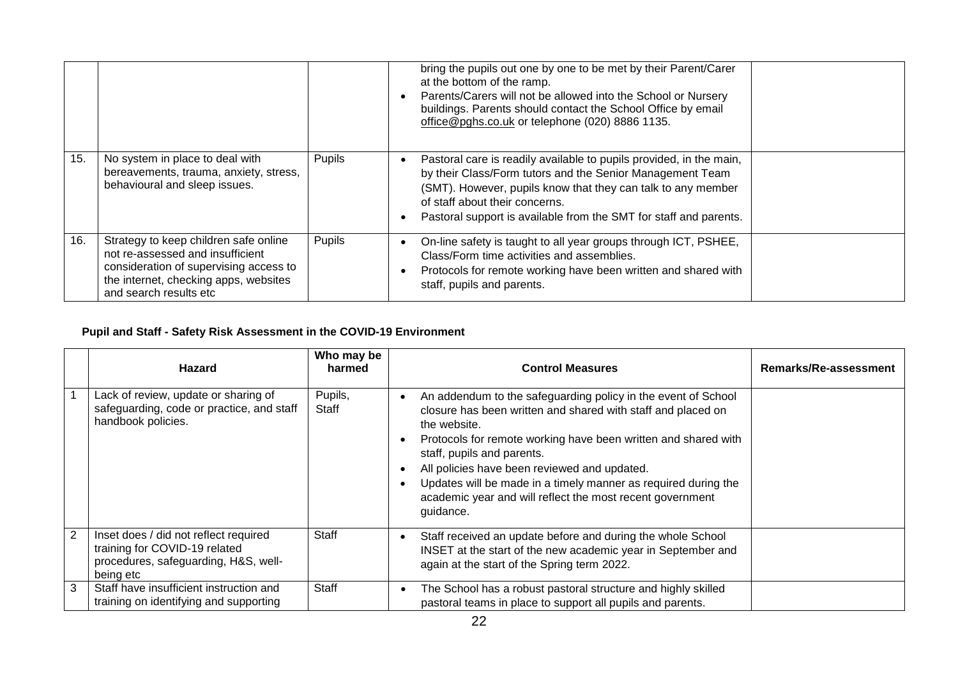|     |                                                                                                                                                                                        |        | bring the pupils out one by one to be met by their Parent/Carer<br>at the bottom of the ramp.<br>Parents/Carers will not be allowed into the School or Nursery<br>buildings. Parents should contact the School Office by email<br>office@pghs.co.uk or telephone (020) 8886 1135.                       |
|-----|----------------------------------------------------------------------------------------------------------------------------------------------------------------------------------------|--------|---------------------------------------------------------------------------------------------------------------------------------------------------------------------------------------------------------------------------------------------------------------------------------------------------------|
| 15. | No system in place to deal with<br>bereavements, trauma, anxiety, stress,<br>behavioural and sleep issues.                                                                             | Pupils | Pastoral care is readily available to pupils provided, in the main,<br>by their Class/Form tutors and the Senior Management Team<br>(SMT). However, pupils know that they can talk to any member<br>of staff about their concerns.<br>Pastoral support is available from the SMT for staff and parents. |
| 16. | Strategy to keep children safe online<br>not re-assessed and insufficient<br>consideration of supervising access to<br>the internet, checking apps, websites<br>and search results etc | Pupils | On-line safety is taught to all year groups through ICT, PSHEE,<br>Class/Form time activities and assemblies.<br>Protocols for remote working have been written and shared with<br>staff, pupils and parents.                                                                                           |

## **Pupil and Staff - Safety Risk Assessment in the COVID-19 Environment**

|   | <b>Hazard</b>                                                                                                               | Who may be<br>harmed | <b>Control Measures</b>                                                                                                                                                                                                                                                                                                                                                                                                                   | Remarks/Re-assessment |
|---|-----------------------------------------------------------------------------------------------------------------------------|----------------------|-------------------------------------------------------------------------------------------------------------------------------------------------------------------------------------------------------------------------------------------------------------------------------------------------------------------------------------------------------------------------------------------------------------------------------------------|-----------------------|
|   | Lack of review, update or sharing of<br>safeguarding, code or practice, and staff<br>handbook policies.                     | Pupils,<br>Staff     | An addendum to the safeguarding policy in the event of School<br>closure has been written and shared with staff and placed on<br>the website.<br>Protocols for remote working have been written and shared with<br>staff, pupils and parents.<br>All policies have been reviewed and updated.<br>Updates will be made in a timely manner as required during the<br>academic year and will reflect the most recent government<br>guidance. |                       |
| 2 | Inset does / did not reflect required<br>training for COVID-19 related<br>procedures, safeguarding, H&S, well-<br>being etc | <b>Staff</b>         | Staff received an update before and during the whole School<br>$\bullet$<br>INSET at the start of the new academic year in September and<br>again at the start of the Spring term 2022.                                                                                                                                                                                                                                                   |                       |
| 3 | Staff have insufficient instruction and<br>training on identifying and supporting                                           | Staff                | The School has a robust pastoral structure and highly skilled<br>pastoral teams in place to support all pupils and parents.                                                                                                                                                                                                                                                                                                               |                       |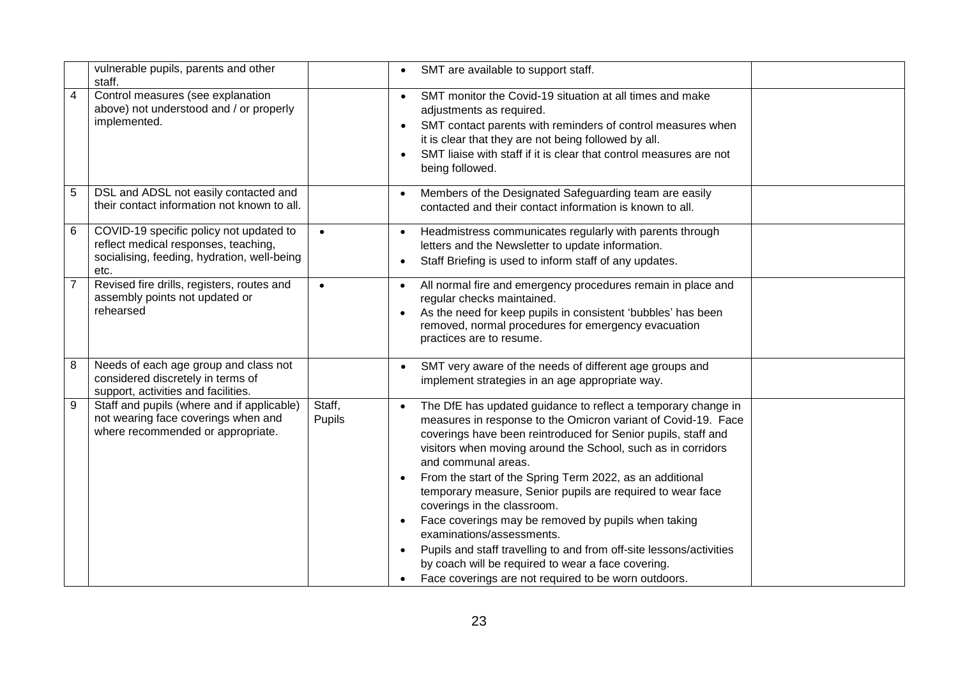|                | vulnerable pupils, parents and other<br>staff.                                                                                         |                                                                      | SMT are available to support staff.<br>$\bullet$                                                                                                                                                                                                                                                                                                                                                                                                                                                                                                                                                                                                                                                                         |  |
|----------------|----------------------------------------------------------------------------------------------------------------------------------------|----------------------------------------------------------------------|--------------------------------------------------------------------------------------------------------------------------------------------------------------------------------------------------------------------------------------------------------------------------------------------------------------------------------------------------------------------------------------------------------------------------------------------------------------------------------------------------------------------------------------------------------------------------------------------------------------------------------------------------------------------------------------------------------------------------|--|
| $\overline{4}$ | Control measures (see explanation<br>above) not understood and / or properly<br>implemented.                                           | $\bullet$<br>$\bullet$<br>$\bullet$                                  | SMT monitor the Covid-19 situation at all times and make<br>adjustments as required.<br>SMT contact parents with reminders of control measures when<br>it is clear that they are not being followed by all.<br>SMT liaise with staff if it is clear that control measures are not<br>being followed.                                                                                                                                                                                                                                                                                                                                                                                                                     |  |
| 5              | DSL and ADSL not easily contacted and<br>their contact information not known to all.                                                   | $\bullet$                                                            | Members of the Designated Safeguarding team are easily<br>contacted and their contact information is known to all.                                                                                                                                                                                                                                                                                                                                                                                                                                                                                                                                                                                                       |  |
| 6              | COVID-19 specific policy not updated to<br>reflect medical responses, teaching,<br>socialising, feeding, hydration, well-being<br>etc. | $\bullet$<br>$\bullet$<br>$\bullet$                                  | Headmistress communicates regularly with parents through<br>letters and the Newsletter to update information.<br>Staff Briefing is used to inform staff of any updates.                                                                                                                                                                                                                                                                                                                                                                                                                                                                                                                                                  |  |
| $\overline{7}$ | Revised fire drills, registers, routes and<br>assembly points not updated or<br>rehearsed                                              | $\bullet$<br>$\bullet$<br>$\bullet$                                  | All normal fire and emergency procedures remain in place and<br>regular checks maintained.<br>As the need for keep pupils in consistent 'bubbles' has been<br>removed, normal procedures for emergency evacuation<br>practices are to resume.                                                                                                                                                                                                                                                                                                                                                                                                                                                                            |  |
| 8              | Needs of each age group and class not<br>considered discretely in terms of<br>support, activities and facilities.                      | $\bullet$                                                            | SMT very aware of the needs of different age groups and<br>implement strategies in an age appropriate way.                                                                                                                                                                                                                                                                                                                                                                                                                                                                                                                                                                                                               |  |
| 9              | Staff and pupils (where and if applicable)<br>not wearing face coverings when and<br>where recommended or appropriate.                 | Staff,<br>$\bullet$<br>Pupils<br>$\bullet$<br>$\bullet$<br>$\bullet$ | The DfE has updated guidance to reflect a temporary change in<br>measures in response to the Omicron variant of Covid-19. Face<br>coverings have been reintroduced for Senior pupils, staff and<br>visitors when moving around the School, such as in corridors<br>and communal areas.<br>From the start of the Spring Term 2022, as an additional<br>temporary measure, Senior pupils are required to wear face<br>coverings in the classroom.<br>Face coverings may be removed by pupils when taking<br>examinations/assessments.<br>Pupils and staff travelling to and from off-site lessons/activities<br>by coach will be required to wear a face covering.<br>Face coverings are not required to be worn outdoors. |  |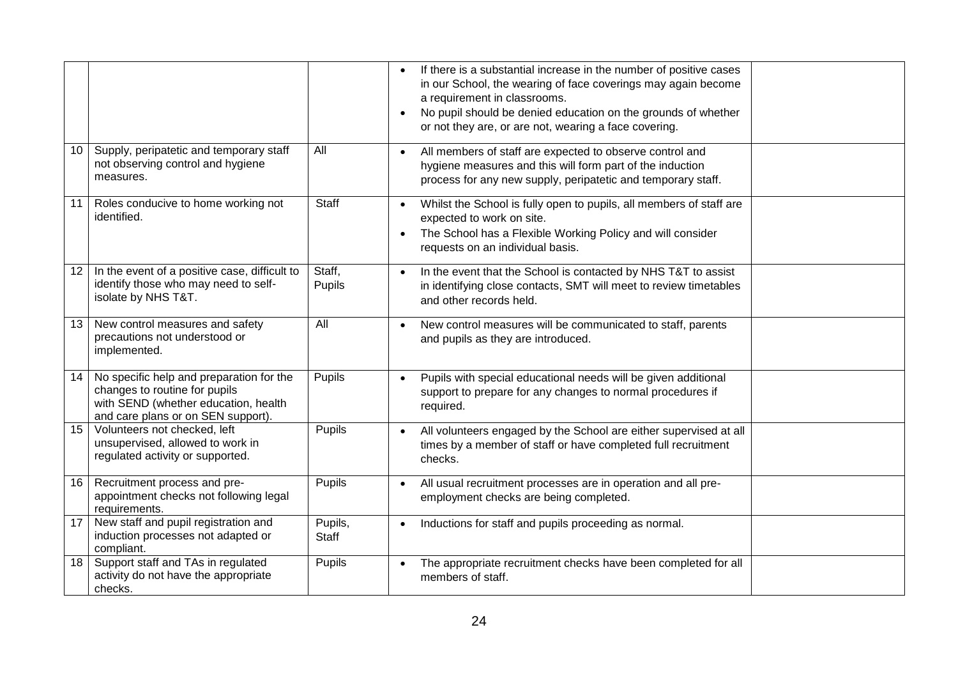|                 |                                                                                                                                                         |                         | If there is a substantial increase in the number of positive cases<br>$\bullet$<br>in our School, the wearing of face coverings may again become<br>a requirement in classrooms.<br>No pupil should be denied education on the grounds of whether<br>$\bullet$<br>or not they are, or are not, wearing a face covering. |
|-----------------|---------------------------------------------------------------------------------------------------------------------------------------------------------|-------------------------|-------------------------------------------------------------------------------------------------------------------------------------------------------------------------------------------------------------------------------------------------------------------------------------------------------------------------|
| 10              | Supply, peripatetic and temporary staff<br>not observing control and hygiene<br>measures.                                                               | All                     | All members of staff are expected to observe control and<br>hygiene measures and this will form part of the induction<br>process for any new supply, peripatetic and temporary staff.                                                                                                                                   |
| 11              | Roles conducive to home working not<br>identified.                                                                                                      | Staff                   | Whilst the School is fully open to pupils, all members of staff are<br>$\bullet$<br>expected to work on site.<br>The School has a Flexible Working Policy and will consider<br>$\bullet$<br>requests on an individual basis.                                                                                            |
| 12 <sup>2</sup> | In the event of a positive case, difficult to<br>identify those who may need to self-<br>isolate by NHS T&T.                                            | Staff,<br>Pupils        | In the event that the School is contacted by NHS T&T to assist<br>$\bullet$<br>in identifying close contacts, SMT will meet to review timetables<br>and other records held.                                                                                                                                             |
| 13 <sup>2</sup> | New control measures and safety<br>precautions not understood or<br>implemented.                                                                        | All                     | New control measures will be communicated to staff, parents<br>$\bullet$<br>and pupils as they are introduced.                                                                                                                                                                                                          |
| 14              | No specific help and preparation for the<br>changes to routine for pupils<br>with SEND (whether education, health<br>and care plans or on SEN support). | Pupils                  | Pupils with special educational needs will be given additional<br>$\bullet$<br>support to prepare for any changes to normal procedures if<br>required.                                                                                                                                                                  |
| 15              | Volunteers not checked, left<br>unsupervised, allowed to work in<br>regulated activity or supported.                                                    | Pupils                  | All volunteers engaged by the School are either supervised at all<br>$\bullet$<br>times by a member of staff or have completed full recruitment<br>checks.                                                                                                                                                              |
| 16              | Recruitment process and pre-<br>appointment checks not following legal<br>requirements.                                                                 | Pupils                  | All usual recruitment processes are in operation and all pre-<br>$\bullet$<br>employment checks are being completed.                                                                                                                                                                                                    |
| 17              | New staff and pupil registration and<br>induction processes not adapted or<br>compliant.                                                                | Pupils,<br><b>Staff</b> | Inductions for staff and pupils proceeding as normal.<br>$\bullet$                                                                                                                                                                                                                                                      |
| 18              | Support staff and TAs in regulated<br>activity do not have the appropriate<br>checks.                                                                   | Pupils                  | The appropriate recruitment checks have been completed for all<br>$\bullet$<br>members of staff.                                                                                                                                                                                                                        |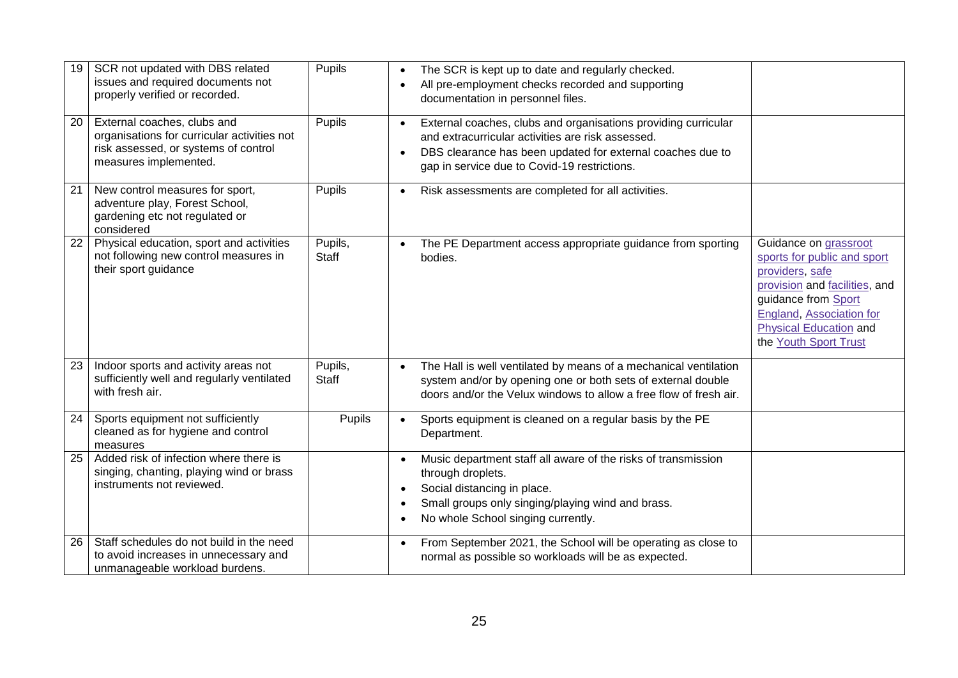| 19 | SCR not updated with DBS related<br>issues and required documents not<br>properly verified or recorded.                                     | <b>Pupils</b>           | $\bullet$<br>$\bullet$                           | The SCR is kept up to date and regularly checked.<br>All pre-employment checks recorded and supporting<br>documentation in personnel files.                                                                                       |                                                                                                                                                                                                                              |
|----|---------------------------------------------------------------------------------------------------------------------------------------------|-------------------------|--------------------------------------------------|-----------------------------------------------------------------------------------------------------------------------------------------------------------------------------------------------------------------------------------|------------------------------------------------------------------------------------------------------------------------------------------------------------------------------------------------------------------------------|
| 20 | External coaches, clubs and<br>organisations for curricular activities not<br>risk assessed, or systems of control<br>measures implemented. | Pupils                  | $\bullet$<br>$\bullet$                           | External coaches, clubs and organisations providing curricular<br>and extracurricular activities are risk assessed.<br>DBS clearance has been updated for external coaches due to<br>gap in service due to Covid-19 restrictions. |                                                                                                                                                                                                                              |
| 21 | New control measures for sport,<br>adventure play, Forest School,<br>gardening etc not regulated or<br>considered                           | Pupils                  | $\bullet$                                        | Risk assessments are completed for all activities.                                                                                                                                                                                |                                                                                                                                                                                                                              |
| 22 | Physical education, sport and activities<br>not following new control measures in<br>their sport guidance                                   | Pupils,<br>Staff        |                                                  | The PE Department access appropriate guidance from sporting<br>bodies.                                                                                                                                                            | Guidance on grassroot<br>sports for public and sport<br>providers, safe<br>provision and facilities, and<br>guidance from Sport<br><b>England, Association for</b><br><b>Physical Education and</b><br>the Youth Sport Trust |
| 23 | Indoor sports and activity areas not<br>sufficiently well and regularly ventilated<br>with fresh air.                                       | Pupils,<br><b>Staff</b> | $\bullet$                                        | The Hall is well ventilated by means of a mechanical ventilation<br>system and/or by opening one or both sets of external double<br>doors and/or the Velux windows to allow a free flow of fresh air.                             |                                                                                                                                                                                                                              |
| 24 | Sports equipment not sufficiently<br>cleaned as for hygiene and control<br>measures                                                         | Pupils                  | $\bullet$                                        | Sports equipment is cleaned on a regular basis by the PE<br>Department.                                                                                                                                                           |                                                                                                                                                                                                                              |
| 25 | Added risk of infection where there is<br>singing, chanting, playing wind or brass<br>instruments not reviewed.                             |                         | $\bullet$<br>$\bullet$<br>$\bullet$<br>$\bullet$ | Music department staff all aware of the risks of transmission<br>through droplets.<br>Social distancing in place.<br>Small groups only singing/playing wind and brass.<br>No whole School singing currently.                      |                                                                                                                                                                                                                              |
| 26 | Staff schedules do not build in the need<br>to avoid increases in unnecessary and<br>unmanageable workload burdens.                         |                         | $\bullet$                                        | From September 2021, the School will be operating as close to<br>normal as possible so workloads will be as expected.                                                                                                             |                                                                                                                                                                                                                              |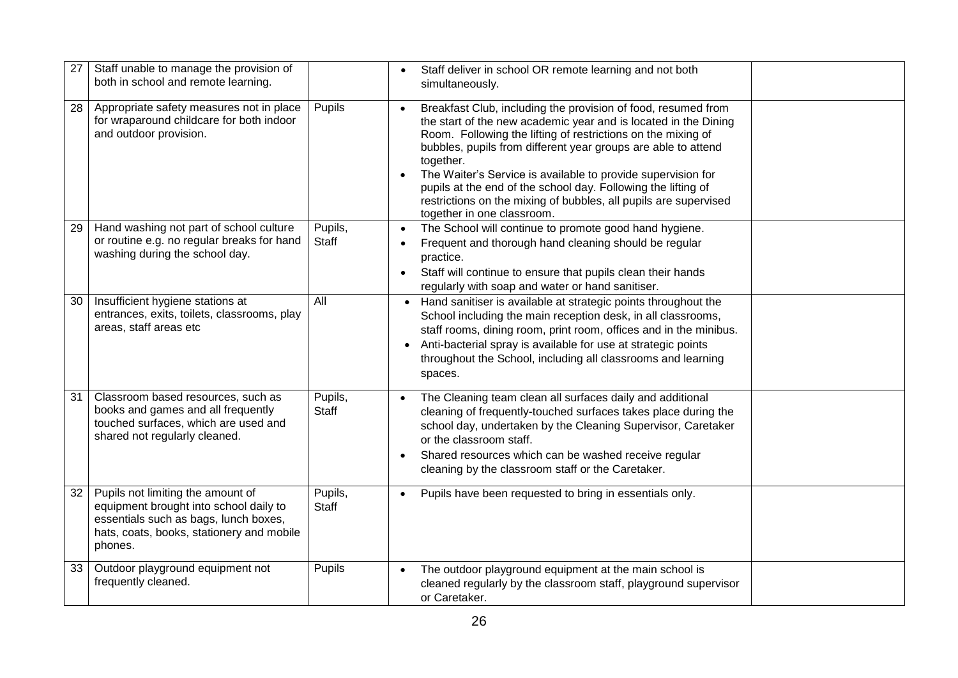| 27 | Staff unable to manage the provision of<br>both in school and remote learning.                                                                                               |                  | Staff deliver in school OR remote learning and not both<br>$\bullet$<br>simultaneously.                                                                                                                                                                                                                                                                                                                                                                                                                                        |
|----|------------------------------------------------------------------------------------------------------------------------------------------------------------------------------|------------------|--------------------------------------------------------------------------------------------------------------------------------------------------------------------------------------------------------------------------------------------------------------------------------------------------------------------------------------------------------------------------------------------------------------------------------------------------------------------------------------------------------------------------------|
| 28 | Appropriate safety measures not in place<br>for wraparound childcare for both indoor<br>and outdoor provision.                                                               | Pupils           | Breakfast Club, including the provision of food, resumed from<br>the start of the new academic year and is located in the Dining<br>Room. Following the lifting of restrictions on the mixing of<br>bubbles, pupils from different year groups are able to attend<br>together.<br>The Waiter's Service is available to provide supervision for<br>$\bullet$<br>pupils at the end of the school day. Following the lifting of<br>restrictions on the mixing of bubbles, all pupils are supervised<br>together in one classroom. |
| 29 | Hand washing not part of school culture<br>or routine e.g. no regular breaks for hand<br>washing during the school day.                                                      | Pupils,<br>Staff | The School will continue to promote good hand hygiene.<br>$\bullet$<br>Frequent and thorough hand cleaning should be regular<br>$\bullet$<br>practice.<br>Staff will continue to ensure that pupils clean their hands<br>$\bullet$<br>regularly with soap and water or hand sanitiser.                                                                                                                                                                                                                                         |
| 30 | Insufficient hygiene stations at<br>entrances, exits, toilets, classrooms, play<br>areas, staff areas etc                                                                    | All              | Hand sanitiser is available at strategic points throughout the<br>School including the main reception desk, in all classrooms,<br>staff rooms, dining room, print room, offices and in the minibus.<br>Anti-bacterial spray is available for use at strategic points<br>throughout the School, including all classrooms and learning<br>spaces.                                                                                                                                                                                |
| 31 | Classroom based resources, such as<br>books and games and all frequently<br>touched surfaces, which are used and<br>shared not regularly cleaned.                            | Pupils,<br>Staff | The Cleaning team clean all surfaces daily and additional<br>$\bullet$<br>cleaning of frequently-touched surfaces takes place during the<br>school day, undertaken by the Cleaning Supervisor, Caretaker<br>or the classroom staff.<br>Shared resources which can be washed receive regular<br>$\bullet$<br>cleaning by the classroom staff or the Caretaker.                                                                                                                                                                  |
| 32 | Pupils not limiting the amount of<br>equipment brought into school daily to<br>essentials such as bags, lunch boxes,<br>hats, coats, books, stationery and mobile<br>phones. | Pupils,<br>Staff | Pupils have been requested to bring in essentials only.<br>$\bullet$                                                                                                                                                                                                                                                                                                                                                                                                                                                           |
| 33 | Outdoor playground equipment not<br>frequently cleaned.                                                                                                                      | Pupils           | The outdoor playground equipment at the main school is<br>cleaned regularly by the classroom staff, playground supervisor<br>or Caretaker.                                                                                                                                                                                                                                                                                                                                                                                     |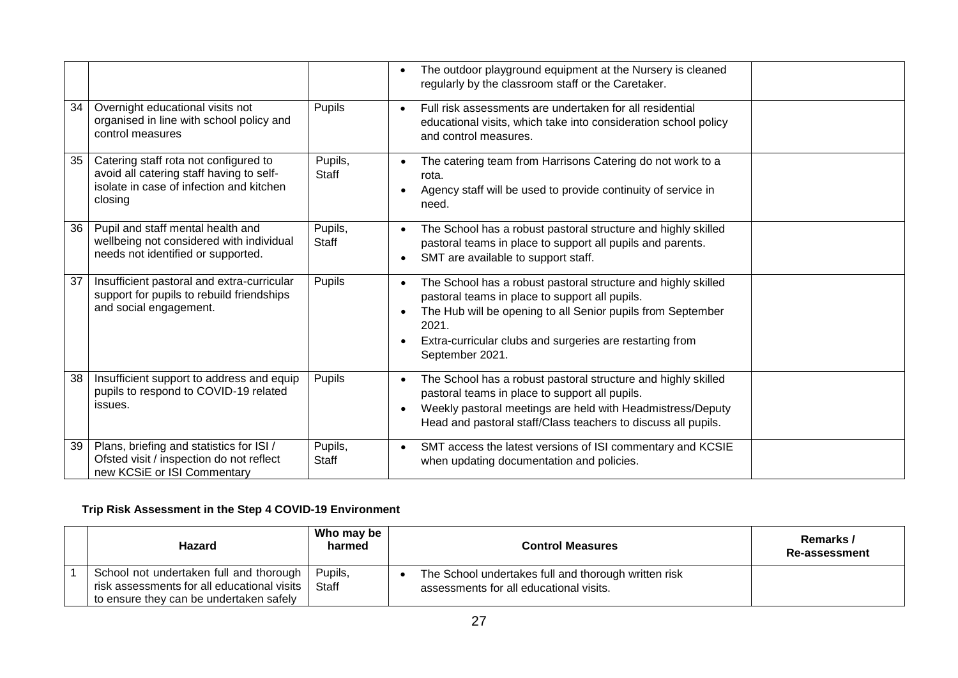|    |                                                                                                                                          |                  | The outdoor playground equipment at the Nursery is cleaned<br>$\bullet$<br>regularly by the classroom staff or the Caretaker.                                                                                                                                                                    |
|----|------------------------------------------------------------------------------------------------------------------------------------------|------------------|--------------------------------------------------------------------------------------------------------------------------------------------------------------------------------------------------------------------------------------------------------------------------------------------------|
| 34 | Overnight educational visits not<br>organised in line with school policy and<br>control measures                                         | Pupils           | Full risk assessments are undertaken for all residential<br>$\bullet$<br>educational visits, which take into consideration school policy<br>and control measures.                                                                                                                                |
| 35 | Catering staff rota not configured to<br>avoid all catering staff having to self-<br>isolate in case of infection and kitchen<br>closing | Pupils,<br>Staff | The catering team from Harrisons Catering do not work to a<br>rota.<br>Agency staff will be used to provide continuity of service in<br>$\bullet$<br>need.                                                                                                                                       |
| 36 | Pupil and staff mental health and<br>wellbeing not considered with individual<br>needs not identified or supported.                      | Pupils,<br>Staff | The School has a robust pastoral structure and highly skilled<br>$\bullet$<br>pastoral teams in place to support all pupils and parents.<br>SMT are available to support staff.<br>$\bullet$                                                                                                     |
| 37 | Insufficient pastoral and extra-curricular<br>support for pupils to rebuild friendships<br>and social engagement.                        | Pupils           | The School has a robust pastoral structure and highly skilled<br>pastoral teams in place to support all pupils.<br>The Hub will be opening to all Senior pupils from September<br>$\bullet$<br>2021.<br>Extra-curricular clubs and surgeries are restarting from<br>$\bullet$<br>September 2021. |
| 38 | Insufficient support to address and equip<br>pupils to respond to COVID-19 related<br>issues.                                            | Pupils           | The School has a robust pastoral structure and highly skilled<br>$\bullet$<br>pastoral teams in place to support all pupils.<br>Weekly pastoral meetings are held with Headmistress/Deputy<br>$\bullet$<br>Head and pastoral staff/Class teachers to discuss all pupils.                         |
| 39 | Plans, briefing and statistics for ISI /<br>Ofsted visit / inspection do not reflect<br>new KCSiE or ISI Commentary                      | Pupils,<br>Staff | SMT access the latest versions of ISI commentary and KCSIE<br>$\bullet$<br>when updating documentation and policies.                                                                                                                                                                             |

## **Trip Risk Assessment in the Step 4 COVID-19 Environment**

| Hazard                                                                                                                            | Who may be<br>harmed | <b>Control Measures</b>                                                                         | Remarks /<br>Re-assessment |
|-----------------------------------------------------------------------------------------------------------------------------------|----------------------|-------------------------------------------------------------------------------------------------|----------------------------|
| School not undertaken full and thorough<br>risk assessments for all educational visits<br>to ensure they can be undertaken safely | Pupils,<br>Staff     | The School undertakes full and thorough written risk<br>assessments for all educational visits. |                            |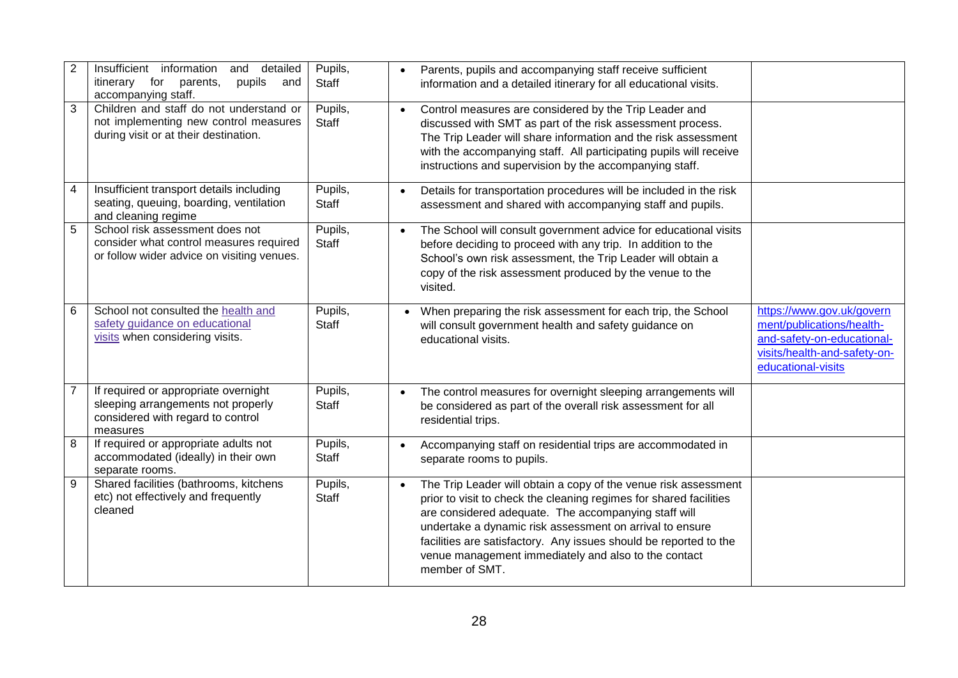| $\overline{2}$ | Insufficient information<br>detailed<br>and<br>pupils<br>itinerary for<br>parents,<br>and<br>accompanying staff.            | Pupils,<br>Staff        | $\bullet$ | Parents, pupils and accompanying staff receive sufficient<br>information and a detailed itinerary for all educational visits.                                                                                                                                                                                                                                                                            |                                                                                                                                            |
|----------------|-----------------------------------------------------------------------------------------------------------------------------|-------------------------|-----------|----------------------------------------------------------------------------------------------------------------------------------------------------------------------------------------------------------------------------------------------------------------------------------------------------------------------------------------------------------------------------------------------------------|--------------------------------------------------------------------------------------------------------------------------------------------|
| 3              | Children and staff do not understand or<br>not implementing new control measures<br>during visit or at their destination.   | Pupils,<br>Staff        | $\bullet$ | Control measures are considered by the Trip Leader and<br>discussed with SMT as part of the risk assessment process.<br>The Trip Leader will share information and the risk assessment<br>with the accompanying staff. All participating pupils will receive<br>instructions and supervision by the accompanying staff.                                                                                  |                                                                                                                                            |
| 4              | Insufficient transport details including<br>seating, queuing, boarding, ventilation<br>and cleaning regime                  | Pupils,<br>Staff        | $\bullet$ | Details for transportation procedures will be included in the risk<br>assessment and shared with accompanying staff and pupils.                                                                                                                                                                                                                                                                          |                                                                                                                                            |
| 5              | School risk assessment does not<br>consider what control measures required<br>or follow wider advice on visiting venues.    | Pupils,<br><b>Staff</b> | $\bullet$ | The School will consult government advice for educational visits<br>before deciding to proceed with any trip. In addition to the<br>School's own risk assessment, the Trip Leader will obtain a<br>copy of the risk assessment produced by the venue to the<br>visited.                                                                                                                                  |                                                                                                                                            |
| 6              | School not consulted the health and<br>safety guidance on educational<br>visits when considering visits.                    | Pupils,<br><b>Staff</b> |           | When preparing the risk assessment for each trip, the School<br>will consult government health and safety guidance on<br>educational visits.                                                                                                                                                                                                                                                             | https://www.gov.uk/govern<br>ment/publications/health-<br>and-safety-on-educational-<br>visits/health-and-safety-on-<br>educational-visits |
|                | If required or appropriate overnight<br>sleeping arrangements not properly<br>considered with regard to control<br>measures | Pupils,<br><b>Staff</b> | $\bullet$ | The control measures for overnight sleeping arrangements will<br>be considered as part of the overall risk assessment for all<br>residential trips.                                                                                                                                                                                                                                                      |                                                                                                                                            |
| 8              | If required or appropriate adults not<br>accommodated (ideally) in their own<br>separate rooms.                             | Pupils,<br>Staff        | $\bullet$ | Accompanying staff on residential trips are accommodated in<br>separate rooms to pupils.                                                                                                                                                                                                                                                                                                                 |                                                                                                                                            |
| 9              | Shared facilities (bathrooms, kitchens<br>etc) not effectively and frequently<br>cleaned                                    | Pupils,<br><b>Staff</b> | $\bullet$ | The Trip Leader will obtain a copy of the venue risk assessment<br>prior to visit to check the cleaning regimes for shared facilities<br>are considered adequate. The accompanying staff will<br>undertake a dynamic risk assessment on arrival to ensure<br>facilities are satisfactory. Any issues should be reported to the<br>venue management immediately and also to the contact<br>member of SMT. |                                                                                                                                            |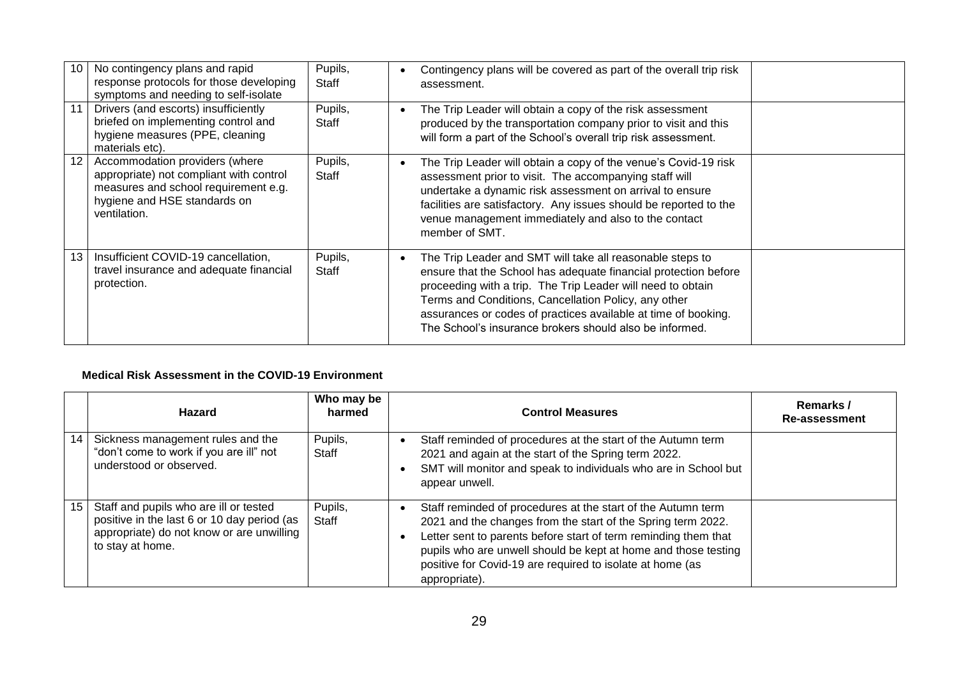| 10 | No contingency plans and rapid<br>response protocols for those developing<br>symptoms and needing to self-isolate                                                 | Pupils,<br>Staff | Contingency plans will be covered as part of the overall trip risk<br>assessment.                                                                                                                                                                                                                                                                                                |  |
|----|-------------------------------------------------------------------------------------------------------------------------------------------------------------------|------------------|----------------------------------------------------------------------------------------------------------------------------------------------------------------------------------------------------------------------------------------------------------------------------------------------------------------------------------------------------------------------------------|--|
| 11 | Drivers (and escorts) insufficiently<br>briefed on implementing control and<br>hygiene measures (PPE, cleaning<br>materials etc).                                 | Pupils,<br>Staff | The Trip Leader will obtain a copy of the risk assessment<br>produced by the transportation company prior to visit and this<br>will form a part of the School's overall trip risk assessment.                                                                                                                                                                                    |  |
| 12 | Accommodation providers (where<br>appropriate) not compliant with control<br>measures and school requirement e.g.<br>hygiene and HSE standards on<br>ventilation. | Pupils,<br>Staff | The Trip Leader will obtain a copy of the venue's Covid-19 risk<br>assessment prior to visit. The accompanying staff will<br>undertake a dynamic risk assessment on arrival to ensure<br>facilities are satisfactory. Any issues should be reported to the<br>venue management immediately and also to the contact<br>member of SMT.                                             |  |
| 13 | Insufficient COVID-19 cancellation,<br>travel insurance and adequate financial<br>protection.                                                                     | Pupils,<br>Staff | The Trip Leader and SMT will take all reasonable steps to<br>ensure that the School has adequate financial protection before<br>proceeding with a trip. The Trip Leader will need to obtain<br>Terms and Conditions, Cancellation Policy, any other<br>assurances or codes of practices available at time of booking.<br>The School's insurance brokers should also be informed. |  |

#### **Medical Risk Assessment in the COVID-19 Environment**

|    | <b>Hazard</b>                                                                                                                                          | Who may be<br>harmed | <b>Control Measures</b>                                                                                                                                                                                                                                                                                                                                      | Remarks /<br>Re-assessment |
|----|--------------------------------------------------------------------------------------------------------------------------------------------------------|----------------------|--------------------------------------------------------------------------------------------------------------------------------------------------------------------------------------------------------------------------------------------------------------------------------------------------------------------------------------------------------------|----------------------------|
| 14 | Sickness management rules and the<br>"don't come to work if you are ill" not<br>understood or observed.                                                | Pupils,<br>Staff     | Staff reminded of procedures at the start of the Autumn term<br>2021 and again at the start of the Spring term 2022.<br>SMT will monitor and speak to individuals who are in School but<br>appear unwell.                                                                                                                                                    |                            |
| 15 | Staff and pupils who are ill or tested<br>positive in the last 6 or 10 day period (as<br>appropriate) do not know or are unwilling<br>to stay at home. | Pupils,<br>Staff     | Staff reminded of procedures at the start of the Autumn term<br>$\bullet$<br>2021 and the changes from the start of the Spring term 2022.<br>Letter sent to parents before start of term reminding them that<br>pupils who are unwell should be kept at home and those testing<br>positive for Covid-19 are required to isolate at home (as<br>appropriate). |                            |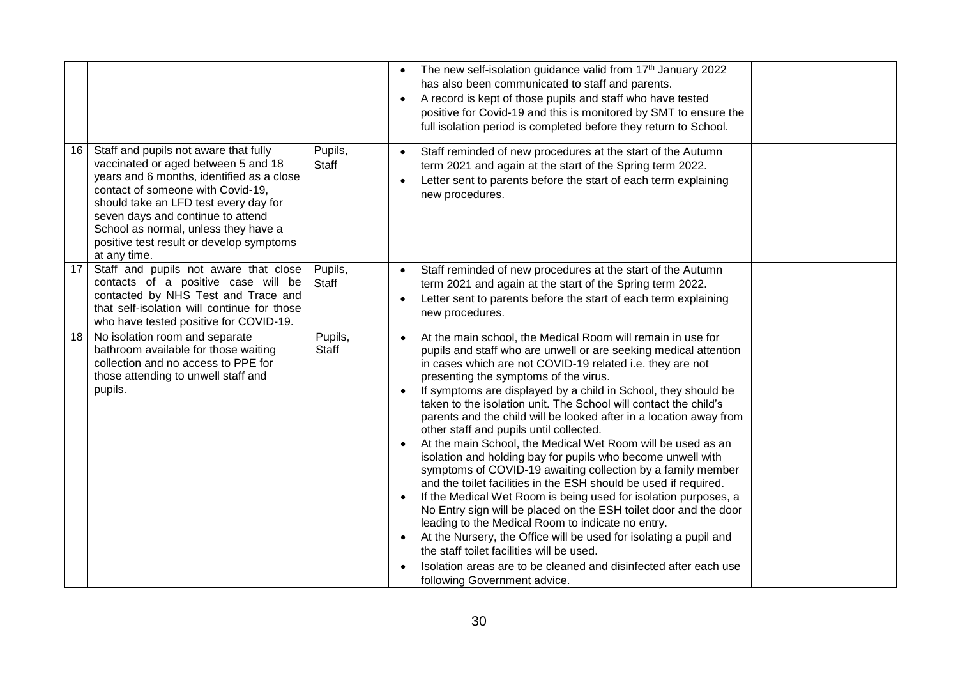|      |                                                                                                                                                                                                                                                                                                                                                  |                         | The new self-isolation guidance valid from 17th January 2022<br>has also been communicated to staff and parents.<br>A record is kept of those pupils and staff who have tested<br>$\bullet$<br>positive for Covid-19 and this is monitored by SMT to ensure the<br>full isolation period is completed before they return to School.                                                                                                                                                                                                                                                                                                                                                                                                                                                                                                                                                                                                                                                                                                                                                                                                                                                                                    |  |
|------|--------------------------------------------------------------------------------------------------------------------------------------------------------------------------------------------------------------------------------------------------------------------------------------------------------------------------------------------------|-------------------------|------------------------------------------------------------------------------------------------------------------------------------------------------------------------------------------------------------------------------------------------------------------------------------------------------------------------------------------------------------------------------------------------------------------------------------------------------------------------------------------------------------------------------------------------------------------------------------------------------------------------------------------------------------------------------------------------------------------------------------------------------------------------------------------------------------------------------------------------------------------------------------------------------------------------------------------------------------------------------------------------------------------------------------------------------------------------------------------------------------------------------------------------------------------------------------------------------------------------|--|
| 16   | Staff and pupils not aware that fully<br>vaccinated or aged between 5 and 18<br>years and 6 months, identified as a close<br>contact of someone with Covid-19,<br>should take an LFD test every day for<br>seven days and continue to attend<br>School as normal, unless they have a<br>positive test result or develop symptoms<br>at any time. | Pupils,<br><b>Staff</b> | Staff reminded of new procedures at the start of the Autumn<br>$\bullet$<br>term 2021 and again at the start of the Spring term 2022.<br>Letter sent to parents before the start of each term explaining<br>new procedures.                                                                                                                                                                                                                                                                                                                                                                                                                                                                                                                                                                                                                                                                                                                                                                                                                                                                                                                                                                                            |  |
| 17   | Staff and pupils not aware that close<br>contacts of a positive case will be<br>contacted by NHS Test and Trace and<br>that self-isolation will continue for those<br>who have tested positive for COVID-19.                                                                                                                                     | Pupils,<br>Staff        | Staff reminded of new procedures at the start of the Autumn<br>$\bullet$<br>term 2021 and again at the start of the Spring term 2022.<br>Letter sent to parents before the start of each term explaining<br>$\bullet$<br>new procedures.                                                                                                                                                                                                                                                                                                                                                                                                                                                                                                                                                                                                                                                                                                                                                                                                                                                                                                                                                                               |  |
| 18 I | No isolation room and separate<br>bathroom available for those waiting<br>collection and no access to PPE for<br>those attending to unwell staff and<br>pupils.                                                                                                                                                                                  | Pupils,<br>Staff        | At the main school, the Medical Room will remain in use for<br>pupils and staff who are unwell or are seeking medical attention<br>in cases which are not COVID-19 related i.e. they are not<br>presenting the symptoms of the virus.<br>If symptoms are displayed by a child in School, they should be<br>$\bullet$<br>taken to the isolation unit. The School will contact the child's<br>parents and the child will be looked after in a location away from<br>other staff and pupils until collected.<br>At the main School, the Medical Wet Room will be used as an<br>isolation and holding bay for pupils who become unwell with<br>symptoms of COVID-19 awaiting collection by a family member<br>and the toilet facilities in the ESH should be used if required.<br>If the Medical Wet Room is being used for isolation purposes, a<br>$\bullet$<br>No Entry sign will be placed on the ESH toilet door and the door<br>leading to the Medical Room to indicate no entry.<br>At the Nursery, the Office will be used for isolating a pupil and<br>$\bullet$<br>the staff toilet facilities will be used.<br>Isolation areas are to be cleaned and disinfected after each use<br>following Government advice. |  |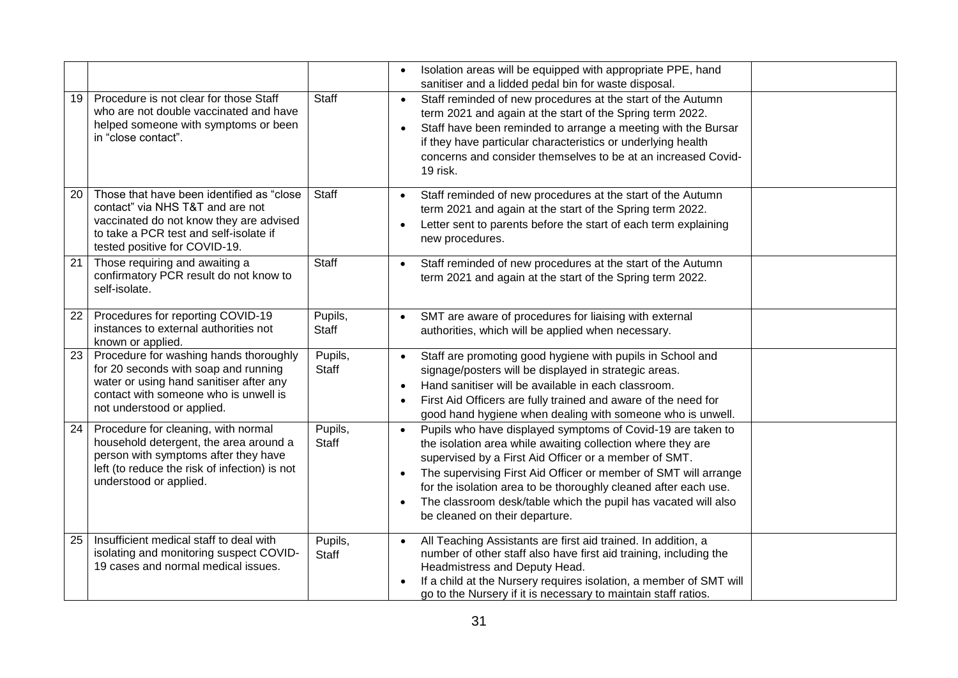|    |                                                                                                                                                                                                     |                         | Isolation areas will be equipped with appropriate PPE, hand<br>sanitiser and a lidded pedal bin for waste disposal.                                                                                                                                                                                                                                                                                                                                                  |  |
|----|-----------------------------------------------------------------------------------------------------------------------------------------------------------------------------------------------------|-------------------------|----------------------------------------------------------------------------------------------------------------------------------------------------------------------------------------------------------------------------------------------------------------------------------------------------------------------------------------------------------------------------------------------------------------------------------------------------------------------|--|
| 19 | Procedure is not clear for those Staff<br>who are not double vaccinated and have<br>helped someone with symptoms or been<br>in "close contact".                                                     | <b>Staff</b>            | Staff reminded of new procedures at the start of the Autumn<br>$\bullet$<br>term 2021 and again at the start of the Spring term 2022.<br>Staff have been reminded to arrange a meeting with the Bursar<br>if they have particular characteristics or underlying health<br>concerns and consider themselves to be at an increased Covid-<br>19 risk.                                                                                                                  |  |
| 20 | Those that have been identified as "close<br>contact" via NHS T&T and are not<br>vaccinated do not know they are advised<br>to take a PCR test and self-isolate if<br>tested positive for COVID-19. | <b>Staff</b>            | Staff reminded of new procedures at the start of the Autumn<br>$\bullet$<br>term 2021 and again at the start of the Spring term 2022.<br>Letter sent to parents before the start of each term explaining<br>new procedures.                                                                                                                                                                                                                                          |  |
| 21 | Those requiring and awaiting a<br>confirmatory PCR result do not know to<br>self-isolate.                                                                                                           | <b>Staff</b>            | Staff reminded of new procedures at the start of the Autumn<br>$\bullet$<br>term 2021 and again at the start of the Spring term 2022.                                                                                                                                                                                                                                                                                                                                |  |
| 22 | Procedures for reporting COVID-19<br>instances to external authorities not<br>known or applied.                                                                                                     | Pupils,<br><b>Staff</b> | SMT are aware of procedures for liaising with external<br>authorities, which will be applied when necessary.                                                                                                                                                                                                                                                                                                                                                         |  |
| 23 | Procedure for washing hands thoroughly<br>for 20 seconds with soap and running<br>water or using hand sanitiser after any<br>contact with someone who is unwell is<br>not understood or applied.    | Pupils,<br><b>Staff</b> | Staff are promoting good hygiene with pupils in School and<br>signage/posters will be displayed in strategic areas.<br>Hand sanitiser will be available in each classroom.<br>First Aid Officers are fully trained and aware of the need for<br>good hand hygiene when dealing with someone who is unwell.                                                                                                                                                           |  |
| 24 | Procedure for cleaning, with normal<br>household detergent, the area around a<br>person with symptoms after they have<br>left (to reduce the risk of infection) is not<br>understood or applied.    | Pupils,<br>Staff        | Pupils who have displayed symptoms of Covid-19 are taken to<br>$\bullet$<br>the isolation area while awaiting collection where they are<br>supervised by a First Aid Officer or a member of SMT.<br>The supervising First Aid Officer or member of SMT will arrange<br>$\bullet$<br>for the isolation area to be thoroughly cleaned after each use.<br>The classroom desk/table which the pupil has vacated will also<br>$\bullet$<br>be cleaned on their departure. |  |
| 25 | Insufficient medical staff to deal with<br>isolating and monitoring suspect COVID-<br>19 cases and normal medical issues.                                                                           | Pupils,<br><b>Staff</b> | All Teaching Assistants are first aid trained. In addition, a<br>number of other staff also have first aid training, including the<br>Headmistress and Deputy Head.<br>If a child at the Nursery requires isolation, a member of SMT will<br>go to the Nursery if it is necessary to maintain staff ratios.                                                                                                                                                          |  |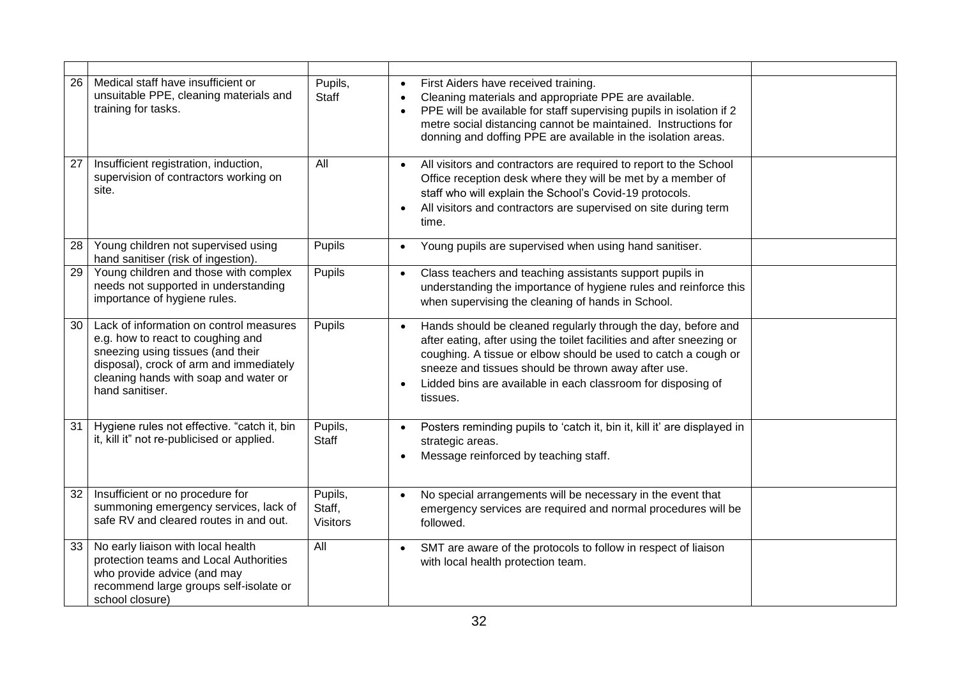| 26 | Medical staff have insufficient or<br>unsuitable PPE, cleaning materials and<br>training for tasks.                                                                                                                      | Pupils,<br><b>Staff</b>              | First Aiders have received training.<br>Cleaning materials and appropriate PPE are available.<br>PPE will be available for staff supervising pupils in isolation if 2<br>metre social distancing cannot be maintained. Instructions for<br>donning and doffing PPE are available in the isolation areas.                                                              |  |
|----|--------------------------------------------------------------------------------------------------------------------------------------------------------------------------------------------------------------------------|--------------------------------------|-----------------------------------------------------------------------------------------------------------------------------------------------------------------------------------------------------------------------------------------------------------------------------------------------------------------------------------------------------------------------|--|
| 27 | Insufficient registration, induction,<br>supervision of contractors working on<br>site.                                                                                                                                  | All                                  | All visitors and contractors are required to report to the School<br>Office reception desk where they will be met by a member of<br>staff who will explain the School's Covid-19 protocols.<br>All visitors and contractors are supervised on site during term<br>time.                                                                                               |  |
| 28 | Young children not supervised using<br>hand sanitiser (risk of ingestion).                                                                                                                                               | Pupils                               | Young pupils are supervised when using hand sanitiser.<br>$\bullet$                                                                                                                                                                                                                                                                                                   |  |
| 29 | Young children and those with complex<br>needs not supported in understanding<br>importance of hygiene rules.                                                                                                            | Pupils                               | Class teachers and teaching assistants support pupils in<br>$\bullet$<br>understanding the importance of hygiene rules and reinforce this<br>when supervising the cleaning of hands in School.                                                                                                                                                                        |  |
| 30 | Lack of information on control measures<br>e.g. how to react to coughing and<br>sneezing using tissues (and their<br>disposal), crock of arm and immediately<br>cleaning hands with soap and water or<br>hand sanitiser. | Pupils                               | Hands should be cleaned regularly through the day, before and<br>$\bullet$<br>after eating, after using the toilet facilities and after sneezing or<br>coughing. A tissue or elbow should be used to catch a cough or<br>sneeze and tissues should be thrown away after use.<br>Lidded bins are available in each classroom for disposing of<br>$\bullet$<br>tissues. |  |
| 31 | Hygiene rules not effective. "catch it, bin<br>it, kill it" not re-publicised or applied.                                                                                                                                | Pupils,<br><b>Staff</b>              | Posters reminding pupils to 'catch it, bin it, kill it' are displayed in<br>strategic areas.<br>Message reinforced by teaching staff.                                                                                                                                                                                                                                 |  |
| 32 | Insufficient or no procedure for<br>summoning emergency services, lack of<br>safe RV and cleared routes in and out.                                                                                                      | Pupils,<br>Staff,<br><b>Visitors</b> | No special arrangements will be necessary in the event that<br>$\bullet$<br>emergency services are required and normal procedures will be<br>followed.                                                                                                                                                                                                                |  |
| 33 | No early liaison with local health<br>protection teams and Local Authorities<br>who provide advice (and may<br>recommend large groups self-isolate or<br>school closure)                                                 | All                                  | SMT are aware of the protocols to follow in respect of liaison<br>$\bullet$<br>with local health protection team.                                                                                                                                                                                                                                                     |  |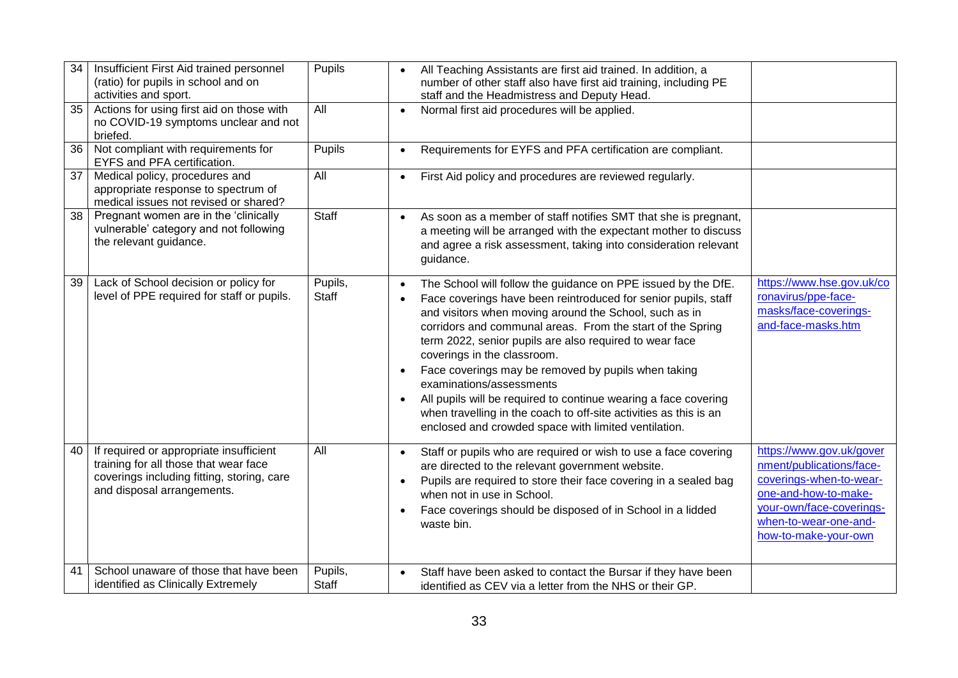| 34<br>35 | Insufficient First Aid trained personnel<br>(ratio) for pupils in school and on<br>activities and sport.<br>Actions for using first aid on those with        | Pupils<br>All           | All Teaching Assistants are first aid trained. In addition, a<br>$\bullet$<br>number of other staff also have first aid training, including PE<br>staff and the Headmistress and Deputy Head.<br>Normal first aid procedures will be applied.<br>$\bullet$                                                                                                                                                                                                                                                                                                                                                                                                                               |                                                                                                                                                                                      |
|----------|--------------------------------------------------------------------------------------------------------------------------------------------------------------|-------------------------|------------------------------------------------------------------------------------------------------------------------------------------------------------------------------------------------------------------------------------------------------------------------------------------------------------------------------------------------------------------------------------------------------------------------------------------------------------------------------------------------------------------------------------------------------------------------------------------------------------------------------------------------------------------------------------------|--------------------------------------------------------------------------------------------------------------------------------------------------------------------------------------|
|          | no COVID-19 symptoms unclear and not<br>briefed.                                                                                                             |                         |                                                                                                                                                                                                                                                                                                                                                                                                                                                                                                                                                                                                                                                                                          |                                                                                                                                                                                      |
| 36       | Not compliant with requirements for<br>EYFS and PFA certification.                                                                                           | <b>Pupils</b>           | Requirements for EYFS and PFA certification are compliant.<br>$\bullet$                                                                                                                                                                                                                                                                                                                                                                                                                                                                                                                                                                                                                  |                                                                                                                                                                                      |
| 37       | Medical policy, procedures and<br>appropriate response to spectrum of<br>medical issues not revised or shared?                                               | All                     | First Aid policy and procedures are reviewed regularly.<br>$\bullet$                                                                                                                                                                                                                                                                                                                                                                                                                                                                                                                                                                                                                     |                                                                                                                                                                                      |
| 38       | Pregnant women are in the 'clinically<br>vulnerable' category and not following<br>the relevant guidance.                                                    | <b>Staff</b>            | As soon as a member of staff notifies SMT that she is pregnant,<br>$\bullet$<br>a meeting will be arranged with the expectant mother to discuss<br>and agree a risk assessment, taking into consideration relevant<br>guidance.                                                                                                                                                                                                                                                                                                                                                                                                                                                          |                                                                                                                                                                                      |
| 39       | Lack of School decision or policy for<br>level of PPE required for staff or pupils.                                                                          | Pupils,<br><b>Staff</b> | The School will follow the guidance on PPE issued by the DfE.<br>$\bullet$<br>Face coverings have been reintroduced for senior pupils, staff<br>$\bullet$<br>and visitors when moving around the School, such as in<br>corridors and communal areas. From the start of the Spring<br>term 2022, senior pupils are also required to wear face<br>coverings in the classroom.<br>Face coverings may be removed by pupils when taking<br>$\bullet$<br>examinations/assessments<br>All pupils will be required to continue wearing a face covering<br>$\bullet$<br>when travelling in the coach to off-site activities as this is an<br>enclosed and crowded space with limited ventilation. | https://www.hse.gov.uk/co<br>ronavirus/ppe-face-<br>masks/face-coverings-<br>and-face-masks.htm                                                                                      |
| 40       | If required or appropriate insufficient<br>training for all those that wear face<br>coverings including fitting, storing, care<br>and disposal arrangements. | All                     | Staff or pupils who are required or wish to use a face covering<br>$\bullet$<br>are directed to the relevant government website.<br>Pupils are required to store their face covering in a sealed bag<br>$\bullet$<br>when not in use in School.<br>Face coverings should be disposed of in School in a lidded<br>$\bullet$<br>waste bin.                                                                                                                                                                                                                                                                                                                                                 | https://www.gov.uk/gover<br>nment/publications/face-<br>coverings-when-to-wear-<br>one-and-how-to-make-<br>your-own/face-coverings-<br>when-to-wear-one-and-<br>how-to-make-your-own |
| 41       | School unaware of those that have been<br>identified as Clinically Extremely                                                                                 | Pupils,<br><b>Staff</b> | Staff have been asked to contact the Bursar if they have been<br>$\bullet$<br>identified as CEV via a letter from the NHS or their GP.                                                                                                                                                                                                                                                                                                                                                                                                                                                                                                                                                   |                                                                                                                                                                                      |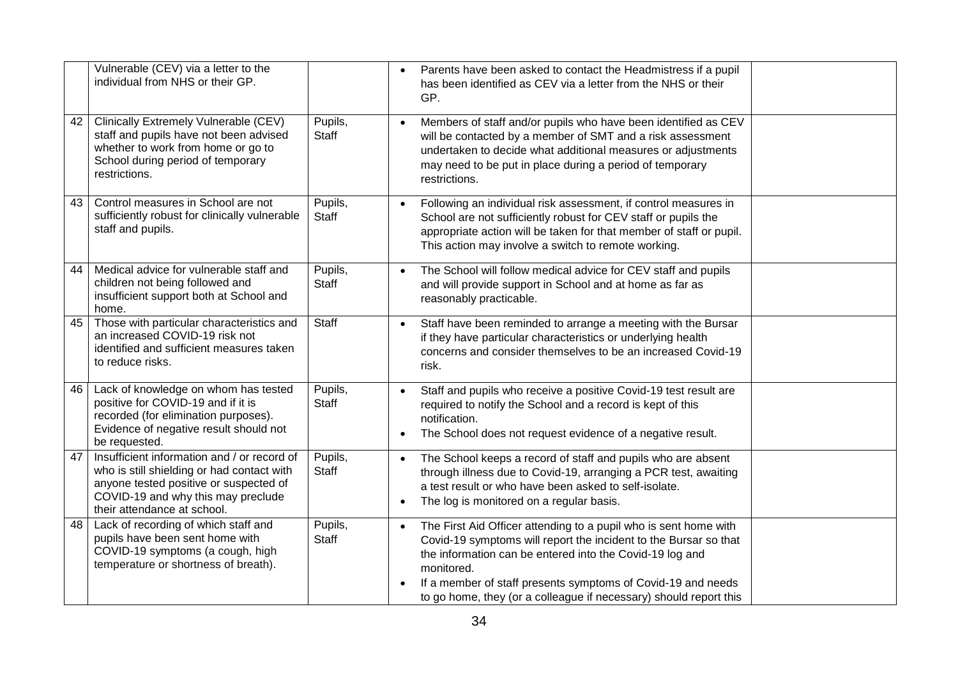| Vulnerable (CEV) via a letter to the<br>individual from NHS or their GP.                                                                                                                                       |                         | Parents have been asked to contact the Headmistress if a pupil<br>$\bullet$<br>has been identified as CEV via a letter from the NHS or their<br>GP.                                                                                                                                         |
|----------------------------------------------------------------------------------------------------------------------------------------------------------------------------------------------------------------|-------------------------|---------------------------------------------------------------------------------------------------------------------------------------------------------------------------------------------------------------------------------------------------------------------------------------------|
| Clinically Extremely Vulnerable (CEV)<br>42<br>staff and pupils have not been advised<br>whether to work from home or go to<br>School during period of temporary<br>restrictions.                              | Pupils,<br><b>Staff</b> | Members of staff and/or pupils who have been identified as CEV<br>$\bullet$<br>will be contacted by a member of SMT and a risk assessment<br>undertaken to decide what additional measures or adjustments<br>may need to be put in place during a period of temporary<br>restrictions.      |
| Control measures in School are not<br>43<br>sufficiently robust for clinically vulnerable<br>staff and pupils.                                                                                                 | Pupils,<br>Staff        | Following an individual risk assessment, if control measures in<br>$\bullet$<br>School are not sufficiently robust for CEV staff or pupils the<br>appropriate action will be taken for that member of staff or pupil.<br>This action may involve a switch to remote working.                |
| Medical advice for vulnerable staff and<br>44<br>children not being followed and<br>insufficient support both at School and<br>home.                                                                           | Pupils,<br><b>Staff</b> | The School will follow medical advice for CEV staff and pupils<br>$\bullet$<br>and will provide support in School and at home as far as<br>reasonably practicable.                                                                                                                          |
| Those with particular characteristics and<br>45<br>an increased COVID-19 risk not<br>identified and sufficient measures taken<br>to reduce risks.                                                              | Staff                   | Staff have been reminded to arrange a meeting with the Bursar<br>$\bullet$<br>if they have particular characteristics or underlying health<br>concerns and consider themselves to be an increased Covid-19<br>risk.                                                                         |
| Lack of knowledge on whom has tested<br>46<br>positive for COVID-19 and if it is<br>recorded (for elimination purposes).<br>Evidence of negative result should not<br>be requested.                            | Pupils,<br><b>Staff</b> | Staff and pupils who receive a positive Covid-19 test result are<br>$\bullet$<br>required to notify the School and a record is kept of this<br>notification.<br>The School does not request evidence of a negative result.<br>$\bullet$                                                     |
| Insufficient information and / or record of<br>47<br>who is still shielding or had contact with<br>anyone tested positive or suspected of<br>COVID-19 and why this may preclude<br>their attendance at school. | Pupils,<br><b>Staff</b> | The School keeps a record of staff and pupils who are absent<br>$\bullet$<br>through illness due to Covid-19, arranging a PCR test, awaiting<br>a test result or who have been asked to self-isolate.<br>The log is monitored on a regular basis.<br>$\bullet$                              |
| Lack of recording of which staff and<br>48<br>pupils have been sent home with<br>COVID-19 symptoms (a cough, high<br>temperature or shortness of breath).                                                      | Pupils,<br>Staff        | The First Aid Officer attending to a pupil who is sent home with<br>$\bullet$<br>Covid-19 symptoms will report the incident to the Bursar so that<br>the information can be entered into the Covid-19 log and<br>monitored.<br>If a member of staff presents symptoms of Covid-19 and needs |
|                                                                                                                                                                                                                |                         | to go home, they (or a colleague if necessary) should report this                                                                                                                                                                                                                           |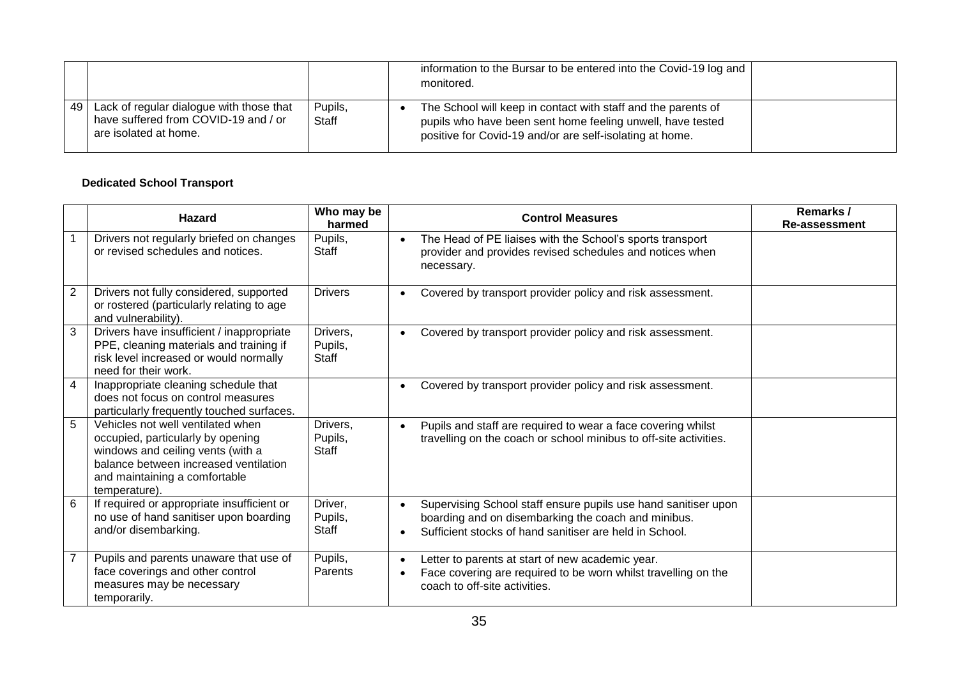|    |                                                                                                           |                  | information to the Bursar to be entered into the Covid-19 log and<br>monitored.                                                                                                         |  |
|----|-----------------------------------------------------------------------------------------------------------|------------------|-----------------------------------------------------------------------------------------------------------------------------------------------------------------------------------------|--|
| 49 | Lack of regular dialogue with those that<br>have suffered from COVID-19 and / or<br>are isolated at home. | Pupils,<br>Staff | The School will keep in contact with staff and the parents of<br>pupils who have been sent home feeling unwell, have tested<br>positive for Covid-19 and/or are self-isolating at home. |  |

#### **Dedicated School Transport**

|   | <b>Hazard</b>                                                                                                                                                                                          | Who may be<br>harmed               | <b>Control Measures</b>                                                                                                                                                                       | Remarks /<br><b>Re-assessment</b> |
|---|--------------------------------------------------------------------------------------------------------------------------------------------------------------------------------------------------------|------------------------------------|-----------------------------------------------------------------------------------------------------------------------------------------------------------------------------------------------|-----------------------------------|
|   | Drivers not regularly briefed on changes<br>or revised schedules and notices.                                                                                                                          | Pupils,<br>Staff                   | The Head of PE liaises with the School's sports transport<br>$\bullet$<br>provider and provides revised schedules and notices when<br>necessary.                                              |                                   |
| 2 | Drivers not fully considered, supported<br>or rostered (particularly relating to age<br>and vulnerability).                                                                                            | <b>Drivers</b>                     | Covered by transport provider policy and risk assessment.<br>$\bullet$                                                                                                                        |                                   |
| 3 | Drivers have insufficient / inappropriate<br>PPE, cleaning materials and training if<br>risk level increased or would normally<br>need for their work.                                                 | Drivers,<br>Pupils,<br>Staff       | Covered by transport provider policy and risk assessment.<br>$\bullet$                                                                                                                        |                                   |
| 4 | Inappropriate cleaning schedule that<br>does not focus on control measures<br>particularly frequently touched surfaces.                                                                                |                                    | Covered by transport provider policy and risk assessment.<br>$\bullet$                                                                                                                        |                                   |
| 5 | Vehicles not well ventilated when<br>occupied, particularly by opening<br>windows and ceiling vents (with a<br>balance between increased ventilation<br>and maintaining a comfortable<br>temperature). | Drivers,<br>Pupils,<br>Staff       | Pupils and staff are required to wear a face covering whilst<br>$\bullet$<br>travelling on the coach or school minibus to off-site activities.                                                |                                   |
| 6 | If required or appropriate insufficient or<br>no use of hand sanitiser upon boarding<br>and/or disembarking.                                                                                           | Driver,<br>Pupils,<br><b>Staff</b> | Supervising School staff ensure pupils use hand sanitiser upon<br>$\bullet$<br>boarding and on disembarking the coach and minibus.<br>Sufficient stocks of hand sanitiser are held in School. |                                   |
|   | Pupils and parents unaware that use of<br>face coverings and other control<br>measures may be necessary<br>temporarily.                                                                                | Pupils,<br>Parents                 | Letter to parents at start of new academic year.<br>$\bullet$<br>Face covering are required to be worn whilst travelling on the<br>$\bullet$<br>coach to off-site activities.                 |                                   |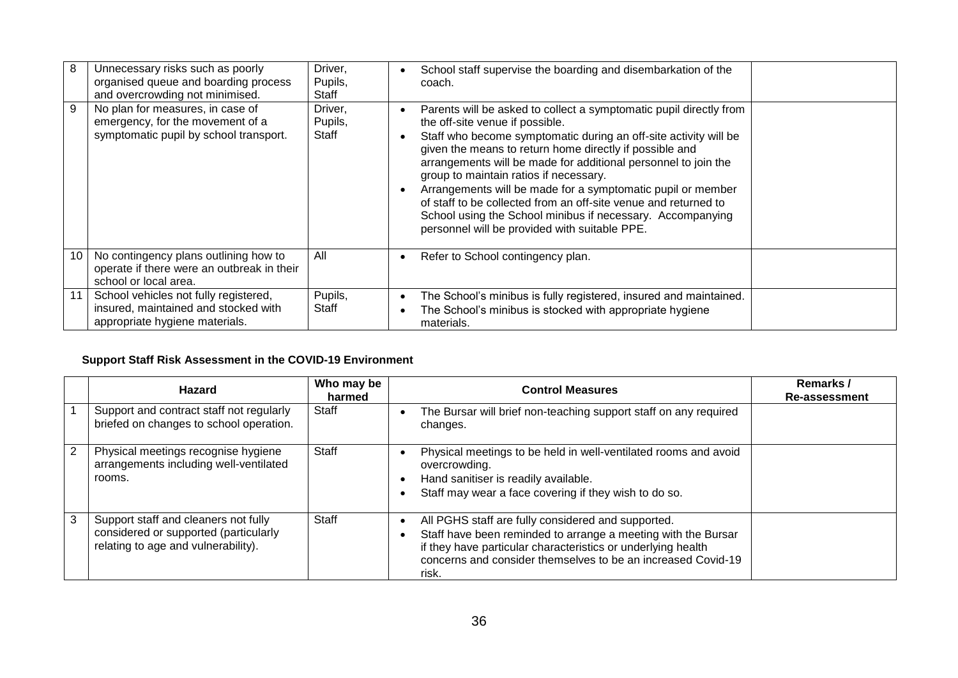| 8  | Unnecessary risks such as poorly<br>organised queue and boarding process<br>and overcrowding not minimised.     | Driver,<br>Pupils,<br>Staff        | School staff supervise the boarding and disembarkation of the<br>coach.                                                                                                                                                                                                                                                                                                                                                                                                                                                                                                                           |  |
|----|-----------------------------------------------------------------------------------------------------------------|------------------------------------|---------------------------------------------------------------------------------------------------------------------------------------------------------------------------------------------------------------------------------------------------------------------------------------------------------------------------------------------------------------------------------------------------------------------------------------------------------------------------------------------------------------------------------------------------------------------------------------------------|--|
| 9  | No plan for measures, in case of<br>emergency, for the movement of a<br>symptomatic pupil by school transport.  | Driver,<br>Pupils,<br><b>Staff</b> | Parents will be asked to collect a symptomatic pupil directly from<br>the off-site venue if possible.<br>Staff who become symptomatic during an off-site activity will be<br>given the means to return home directly if possible and<br>arrangements will be made for additional personnel to join the<br>group to maintain ratios if necessary.<br>Arrangements will be made for a symptomatic pupil or member<br>of staff to be collected from an off-site venue and returned to<br>School using the School minibus if necessary. Accompanying<br>personnel will be provided with suitable PPE. |  |
| 10 | No contingency plans outlining how to<br>operate if there were an outbreak in their<br>school or local area.    | All                                | Refer to School contingency plan.                                                                                                                                                                                                                                                                                                                                                                                                                                                                                                                                                                 |  |
| 11 | School vehicles not fully registered,<br>insured, maintained and stocked with<br>appropriate hygiene materials. | Pupils,<br>Staff                   | The School's minibus is fully registered, insured and maintained.<br>The School's minibus is stocked with appropriate hygiene<br>materials.                                                                                                                                                                                                                                                                                                                                                                                                                                                       |  |

# **Support Staff Risk Assessment in the COVID-19 Environment**

|   | <b>Hazard</b>                                                                                                        | Who may be<br>harmed | <b>Control Measures</b>                                                                                                                                                                                                                                      | Remarks/<br>Re-assessment |
|---|----------------------------------------------------------------------------------------------------------------------|----------------------|--------------------------------------------------------------------------------------------------------------------------------------------------------------------------------------------------------------------------------------------------------------|---------------------------|
|   | Support and contract staff not regularly<br>briefed on changes to school operation.                                  | Staff                | The Bursar will brief non-teaching support staff on any required<br>changes.                                                                                                                                                                                 |                           |
| 2 | Physical meetings recognise hygiene<br>arrangements including well-ventilated<br>rooms.                              | Staff                | Physical meetings to be held in well-ventilated rooms and avoid<br>overcrowding.<br>Hand sanitiser is readily available.<br>$\bullet$<br>Staff may wear a face covering if they wish to do so.                                                               |                           |
|   | Support staff and cleaners not fully<br>considered or supported (particularly<br>relating to age and vulnerability). | Staff                | All PGHS staff are fully considered and supported.<br>Staff have been reminded to arrange a meeting with the Bursar<br>if they have particular characteristics or underlying health<br>concerns and consider themselves to be an increased Covid-19<br>risk. |                           |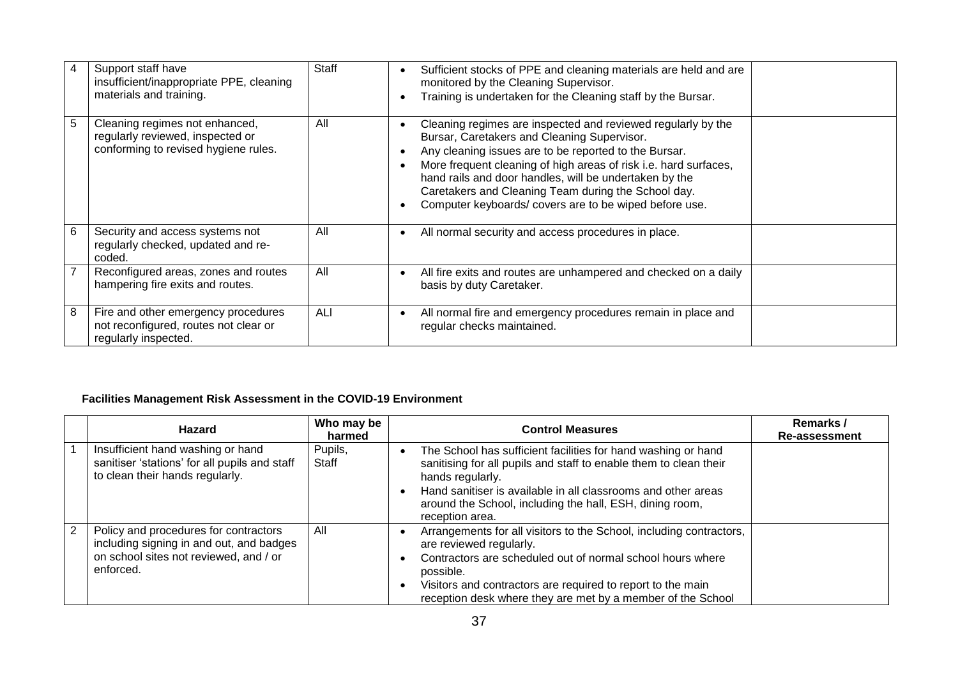| 4 | Support staff have<br>insufficient/inappropriate PPE, cleaning<br>materials and training.                  | Staff | Sufficient stocks of PPE and cleaning materials are held and are<br>$\bullet$<br>monitored by the Cleaning Supervisor.<br>Training is undertaken for the Cleaning staff by the Bursar.                                                                                                                                                                                                                             |  |
|---|------------------------------------------------------------------------------------------------------------|-------|--------------------------------------------------------------------------------------------------------------------------------------------------------------------------------------------------------------------------------------------------------------------------------------------------------------------------------------------------------------------------------------------------------------------|--|
| 5 | Cleaning regimes not enhanced,<br>regularly reviewed, inspected or<br>conforming to revised hygiene rules. | All   | Cleaning regimes are inspected and reviewed regularly by the<br>Bursar, Caretakers and Cleaning Supervisor.<br>Any cleaning issues are to be reported to the Bursar.<br>More frequent cleaning of high areas of risk i.e. hard surfaces,<br>hand rails and door handles, will be undertaken by the<br>Caretakers and Cleaning Team during the School day.<br>Computer keyboards/covers are to be wiped before use. |  |
| 6 | Security and access systems not<br>regularly checked, updated and re-<br>coded.                            | All   | All normal security and access procedures in place.                                                                                                                                                                                                                                                                                                                                                                |  |
|   | Reconfigured areas, zones and routes<br>hampering fire exits and routes.                                   | All   | All fire exits and routes are unhampered and checked on a daily<br>basis by duty Caretaker.                                                                                                                                                                                                                                                                                                                        |  |
| 8 | Fire and other emergency procedures<br>not reconfigured, routes not clear or<br>regularly inspected.       | ALI   | All normal fire and emergency procedures remain in place and<br>$\bullet$<br>regular checks maintained.                                                                                                                                                                                                                                                                                                            |  |

## **Facilities Management Risk Assessment in the COVID-19 Environment**

|   | <b>Hazard</b>                                                                                                                            | Who may be<br>harmed | <b>Control Measures</b>                                                                                                                                                                                                                                                                                 | Remarks /<br><b>Re-assessment</b> |
|---|------------------------------------------------------------------------------------------------------------------------------------------|----------------------|---------------------------------------------------------------------------------------------------------------------------------------------------------------------------------------------------------------------------------------------------------------------------------------------------------|-----------------------------------|
|   | Insufficient hand washing or hand<br>sanitiser 'stations' for all pupils and staff<br>to clean their hands regularly.                    | Pupils,<br>Staff     | The School has sufficient facilities for hand washing or hand<br>sanitising for all pupils and staff to enable them to clean their<br>hands regularly.<br>Hand sanitiser is available in all classrooms and other areas<br>around the School, including the hall, ESH, dining room,<br>reception area.  |                                   |
| 2 | Policy and procedures for contractors<br>including signing in and out, and badges<br>on school sites not reviewed, and / or<br>enforced. | All                  | Arrangements for all visitors to the School, including contractors,<br>are reviewed regularly.<br>Contractors are scheduled out of normal school hours where<br>possible.<br>Visitors and contractors are required to report to the main<br>reception desk where they are met by a member of the School |                                   |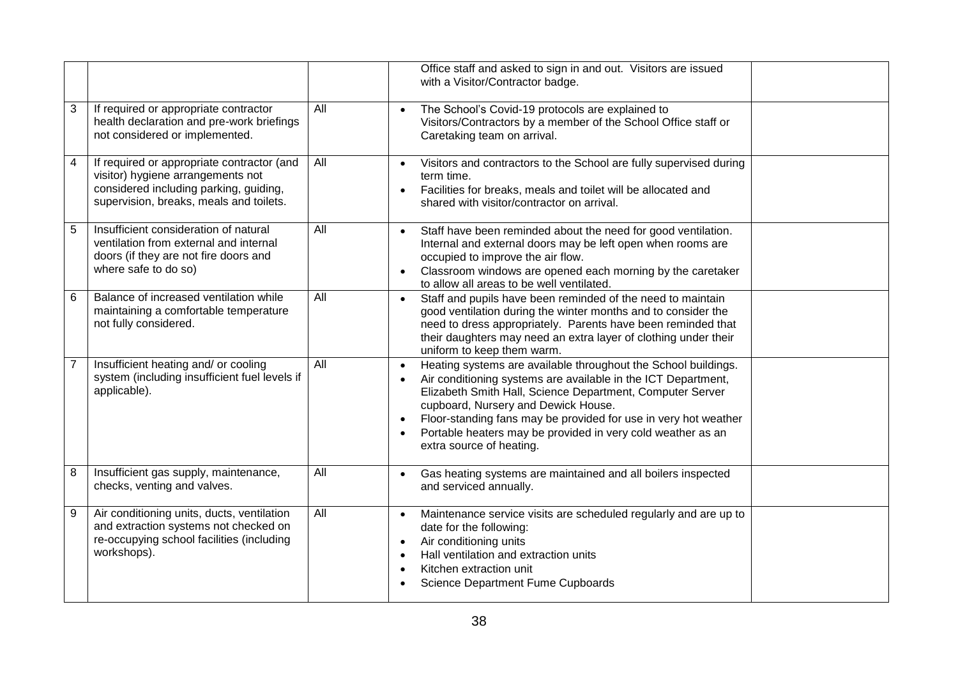|                |                                                                                                                                                                      |     | Office staff and asked to sign in and out. Visitors are issued<br>with a Visitor/Contractor badge.                                                                                                                                                                                                                                                                                                |  |
|----------------|----------------------------------------------------------------------------------------------------------------------------------------------------------------------|-----|---------------------------------------------------------------------------------------------------------------------------------------------------------------------------------------------------------------------------------------------------------------------------------------------------------------------------------------------------------------------------------------------------|--|
| 3              | If required or appropriate contractor<br>health declaration and pre-work briefings<br>not considered or implemented.                                                 | All | The School's Covid-19 protocols are explained to<br>Visitors/Contractors by a member of the School Office staff or<br>Caretaking team on arrival.                                                                                                                                                                                                                                                 |  |
| 4              | If required or appropriate contractor (and<br>visitor) hygiene arrangements not<br>considered including parking, guiding,<br>supervision, breaks, meals and toilets. | All | Visitors and contractors to the School are fully supervised during<br>term time.<br>Facilities for breaks, meals and toilet will be allocated and<br>shared with visitor/contractor on arrival.                                                                                                                                                                                                   |  |
| 5              | Insufficient consideration of natural<br>ventilation from external and internal<br>doors (if they are not fire doors and<br>where safe to do so)                     | All | Staff have been reminded about the need for good ventilation.<br>Internal and external doors may be left open when rooms are<br>occupied to improve the air flow.<br>Classroom windows are opened each morning by the caretaker<br>to allow all areas to be well ventilated.                                                                                                                      |  |
| 6              | Balance of increased ventilation while<br>maintaining a comfortable temperature<br>not fully considered.                                                             | All | Staff and pupils have been reminded of the need to maintain<br>good ventilation during the winter months and to consider the<br>need to dress appropriately. Parents have been reminded that<br>their daughters may need an extra layer of clothing under their<br>uniform to keep them warm.                                                                                                     |  |
| $\overline{7}$ | Insufficient heating and/ or cooling<br>system (including insufficient fuel levels if<br>applicable).                                                                | All | Heating systems are available throughout the School buildings.<br>Air conditioning systems are available in the ICT Department,<br>Elizabeth Smith Hall, Science Department, Computer Server<br>cupboard, Nursery and Dewick House.<br>Floor-standing fans may be provided for use in very hot weather<br>Portable heaters may be provided in very cold weather as an<br>extra source of heating. |  |
| 8              | Insufficient gas supply, maintenance,<br>checks, venting and valves.                                                                                                 | All | Gas heating systems are maintained and all boilers inspected<br>and serviced annually.                                                                                                                                                                                                                                                                                                            |  |
| 9              | Air conditioning units, ducts, ventilation<br>and extraction systems not checked on<br>re-occupying school facilities (including<br>workshops).                      | All | Maintenance service visits are scheduled regularly and are up to<br>date for the following:<br>Air conditioning units<br>Hall ventilation and extraction units<br>Kitchen extraction unit<br>Science Department Fume Cupboards                                                                                                                                                                    |  |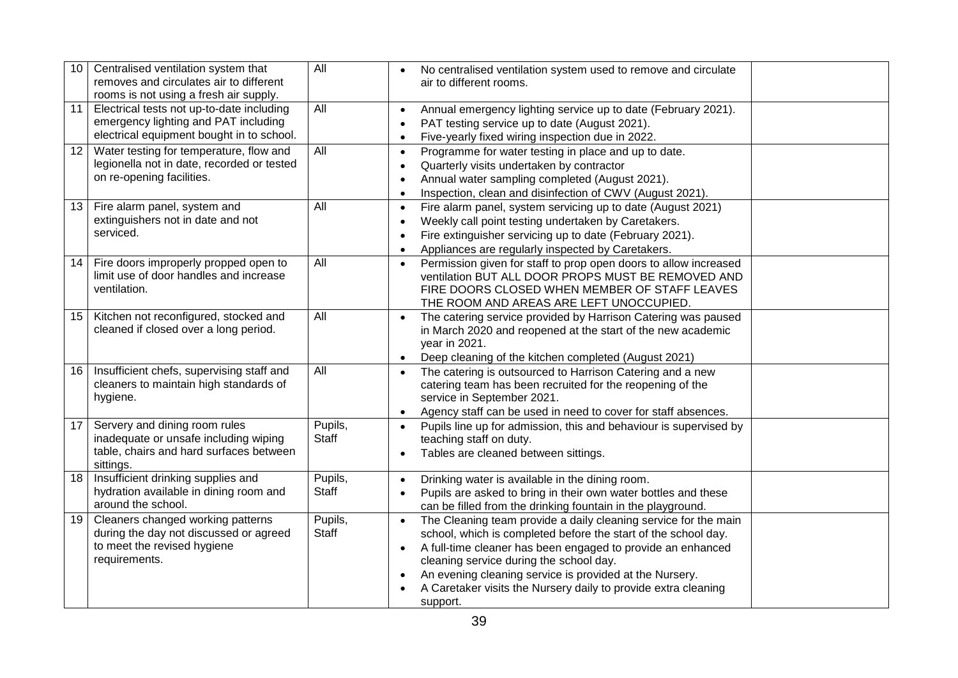| 10 | Centralised ventilation system that<br>removes and circulates air to different<br>rooms is not using a fresh air supply.       | All                     | No centralised ventilation system used to remove and circulate<br>air to different rooms.                                                                                                                                                                                                                                                                                                                      |
|----|--------------------------------------------------------------------------------------------------------------------------------|-------------------------|----------------------------------------------------------------------------------------------------------------------------------------------------------------------------------------------------------------------------------------------------------------------------------------------------------------------------------------------------------------------------------------------------------------|
| 11 | Electrical tests not up-to-date including<br>emergency lighting and PAT including<br>electrical equipment bought in to school. | All                     | Annual emergency lighting service up to date (February 2021).<br>PAT testing service up to date (August 2021).<br>Five-yearly fixed wiring inspection due in 2022.<br>$\bullet$                                                                                                                                                                                                                                |
| 12 | Water testing for temperature, flow and<br>legionella not in date, recorded or tested<br>on re-opening facilities.             | All                     | Programme for water testing in place and up to date.<br>$\bullet$<br>Quarterly visits undertaken by contractor<br>Annual water sampling completed (August 2021).<br>Inspection, clean and disinfection of CWV (August 2021).                                                                                                                                                                                   |
| 13 | Fire alarm panel, system and<br>extinguishers not in date and not<br>serviced.                                                 | All                     | Fire alarm panel, system servicing up to date (August 2021)<br>$\bullet$<br>Weekly call point testing undertaken by Caretakers.<br>Fire extinguisher servicing up to date (February 2021).<br>Appliances are regularly inspected by Caretakers.                                                                                                                                                                |
| 14 | Fire doors improperly propped open to<br>limit use of door handles and increase<br>ventilation.                                | All                     | Permission given for staff to prop open doors to allow increased<br>$\bullet$<br>ventilation BUT ALL DOOR PROPS MUST BE REMOVED AND<br>FIRE DOORS CLOSED WHEN MEMBER OF STAFF LEAVES<br>THE ROOM AND AREAS ARE LEFT UNOCCUPIED.                                                                                                                                                                                |
| 15 | Kitchen not reconfigured, stocked and<br>cleaned if closed over a long period.                                                 | All                     | The catering service provided by Harrison Catering was paused<br>$\bullet$<br>in March 2020 and reopened at the start of the new academic<br>year in 2021.<br>Deep cleaning of the kitchen completed (August 2021)                                                                                                                                                                                             |
| 16 | Insufficient chefs, supervising staff and<br>cleaners to maintain high standards of<br>hygiene.                                | All                     | The catering is outsourced to Harrison Catering and a new<br>catering team has been recruited for the reopening of the<br>service in September 2021.<br>Agency staff can be used in need to cover for staff absences.                                                                                                                                                                                          |
| 17 | Servery and dining room rules<br>inadequate or unsafe including wiping<br>table, chairs and hard surfaces between<br>sittings. | Pupils,<br><b>Staff</b> | Pupils line up for admission, this and behaviour is supervised by<br>teaching staff on duty.<br>Tables are cleaned between sittings.<br>$\bullet$                                                                                                                                                                                                                                                              |
| 18 | Insufficient drinking supplies and<br>hydration available in dining room and<br>around the school.                             | Pupils,<br><b>Staff</b> | Drinking water is available in the dining room.<br>Pupils are asked to bring in their own water bottles and these<br>can be filled from the drinking fountain in the playground.                                                                                                                                                                                                                               |
| 19 | Cleaners changed working patterns<br>during the day not discussed or agreed<br>to meet the revised hygiene<br>requirements.    | Pupils,<br>Staff        | The Cleaning team provide a daily cleaning service for the main<br>$\bullet$<br>school, which is completed before the start of the school day.<br>A full-time cleaner has been engaged to provide an enhanced<br>$\bullet$<br>cleaning service during the school day.<br>An evening cleaning service is provided at the Nursery.<br>A Caretaker visits the Nursery daily to provide extra cleaning<br>support. |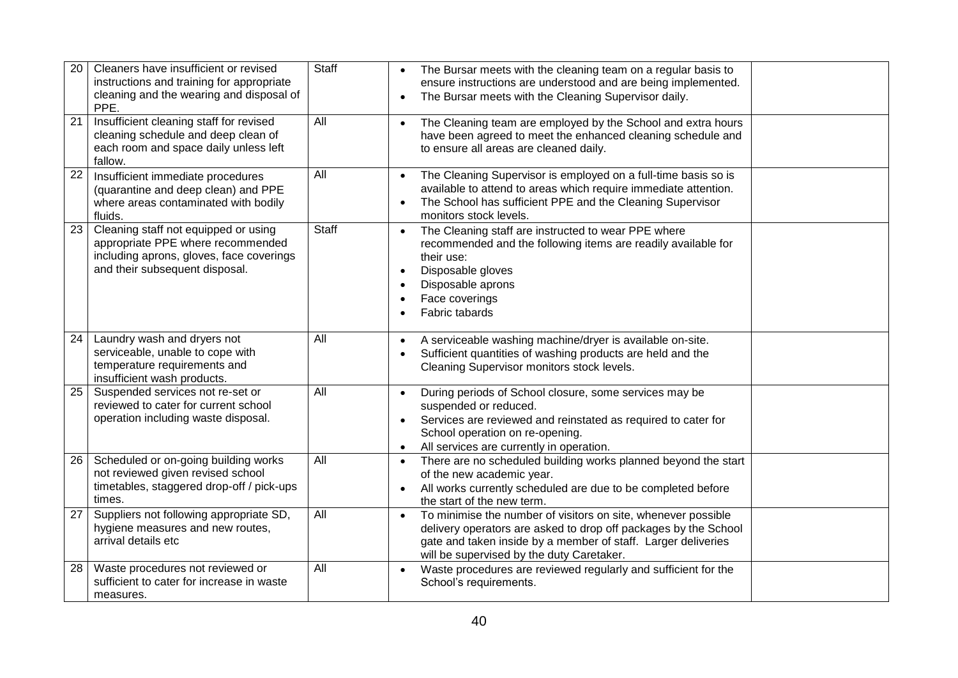| 20              | Cleaners have insufficient or revised<br>instructions and training for appropriate<br>cleaning and the wearing and disposal of<br>PPE.                  | <b>Staff</b> | The Bursar meets with the cleaning team on a regular basis to<br>ensure instructions are understood and are being implemented.<br>The Bursar meets with the Cleaning Supervisor daily.                                                                      |  |
|-----------------|---------------------------------------------------------------------------------------------------------------------------------------------------------|--------------|-------------------------------------------------------------------------------------------------------------------------------------------------------------------------------------------------------------------------------------------------------------|--|
| 21              | Insufficient cleaning staff for revised<br>cleaning schedule and deep clean of<br>each room and space daily unless left<br>fallow.                      | All          | The Cleaning team are employed by the School and extra hours<br>have been agreed to meet the enhanced cleaning schedule and<br>to ensure all areas are cleaned daily.                                                                                       |  |
| $\overline{22}$ | Insufficient immediate procedures<br>(quarantine and deep clean) and PPE<br>where areas contaminated with bodily<br>fluids.                             | All          | The Cleaning Supervisor is employed on a full-time basis so is<br>available to attend to areas which require immediate attention.<br>The School has sufficient PPE and the Cleaning Supervisor<br>monitors stock levels.                                    |  |
| 23              | Cleaning staff not equipped or using<br>appropriate PPE where recommended<br>including aprons, gloves, face coverings<br>and their subsequent disposal. | <b>Staff</b> | The Cleaning staff are instructed to wear PPE where<br>recommended and the following items are readily available for<br>their use:<br>Disposable gloves<br>Disposable aprons<br>Face coverings<br>Fabric tabards                                            |  |
| 24              | Laundry wash and dryers not<br>serviceable, unable to cope with<br>temperature requirements and<br>insufficient wash products.                          | All          | A serviceable washing machine/dryer is available on-site.<br>Sufficient quantities of washing products are held and the<br>Cleaning Supervisor monitors stock levels.                                                                                       |  |
| 25              | Suspended services not re-set or<br>reviewed to cater for current school<br>operation including waste disposal.                                         | All          | During periods of School closure, some services may be<br>suspended or reduced.<br>Services are reviewed and reinstated as required to cater for<br>School operation on re-opening.<br>All services are currently in operation.<br>$\bullet$                |  |
| 26              | Scheduled or on-going building works<br>not reviewed given revised school<br>timetables, staggered drop-off / pick-ups<br>times.                        | All          | There are no scheduled building works planned beyond the start<br>of the new academic year.<br>All works currently scheduled are due to be completed before<br>the start of the new term.                                                                   |  |
| 27              | Suppliers not following appropriate SD,<br>hygiene measures and new routes,<br>arrival details etc                                                      | All          | To minimise the number of visitors on site, whenever possible<br>$\bullet$<br>delivery operators are asked to drop off packages by the School<br>gate and taken inside by a member of staff. Larger deliveries<br>will be supervised by the duty Caretaker. |  |
| 28              | Waste procedures not reviewed or<br>sufficient to cater for increase in waste<br>measures.                                                              | All          | Waste procedures are reviewed regularly and sufficient for the<br>$\bullet$<br>School's requirements.                                                                                                                                                       |  |